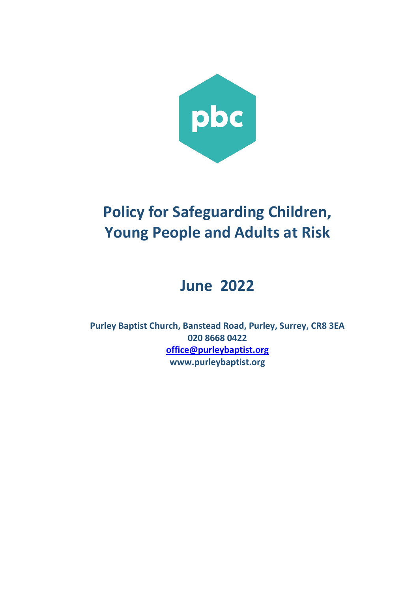

# **Policy for Safeguarding Children, Young People and Adults at Risk**

# **June 2022**

**Purley Baptist Church, Banstead Road, Purley, Surrey, CR8 3EA 020 8668 0422 [office@purleybaptist.org](mailto:office@purleybaptist.org) www.purleybaptist.org**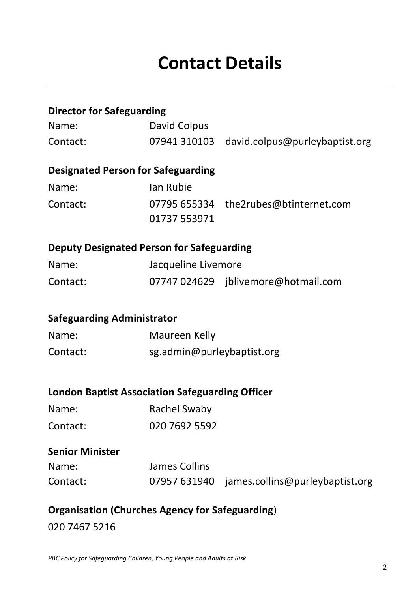| <b>Director for Safeguarding</b>                       |                            |                                              |  |
|--------------------------------------------------------|----------------------------|----------------------------------------------|--|
| Name:                                                  | <b>David Colpus</b>        |                                              |  |
| Contact:                                               | 07941 310103               | david.colpus@purleybaptist.org               |  |
| <b>Designated Person for Safeguarding</b>              |                            |                                              |  |
| Name:                                                  | Ian Rubie                  |                                              |  |
| Contact:                                               | 01737 553971               | 07795 655334 the2rubes@btinternet.com        |  |
| <b>Deputy Designated Person for Safeguarding</b>       |                            |                                              |  |
| Name:                                                  | Jacqueline Livemore        |                                              |  |
| Contact:                                               |                            | 07747 024629 jblivemore@hotmail.com          |  |
| <b>Safeguarding Administrator</b>                      |                            |                                              |  |
| Name:                                                  | Maureen Kelly              |                                              |  |
| Contact:                                               | sg.admin@purleybaptist.org |                                              |  |
| <b>London Baptist Association Safeguarding Officer</b> |                            |                                              |  |
| Name:                                                  | <b>Rachel Swaby</b>        |                                              |  |
| Contact:                                               | 020 7692 5592              |                                              |  |
| <b>Senior Minister</b>                                 |                            |                                              |  |
| Name:                                                  | James Collins              |                                              |  |
| Contact:                                               |                            | 07957 631940 james.collins@purleybaptist.org |  |
|                                                        |                            |                                              |  |

# **Organisation (Churches Agency for Safeguarding**) 020 7467 5216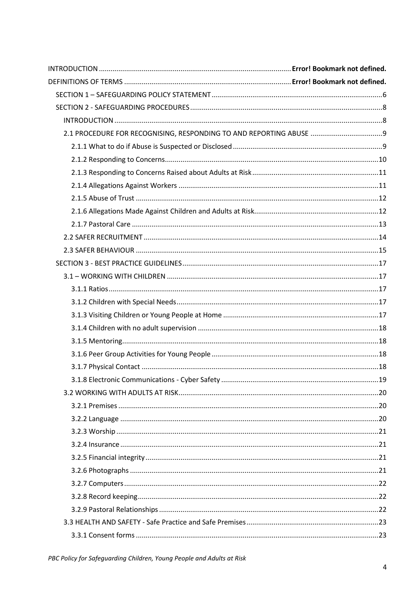| 2.1 PROCEDURE FOR RECOGNISING, RESPONDING TO AND REPORTING ABUSE |  |
|------------------------------------------------------------------|--|
|                                                                  |  |
|                                                                  |  |
|                                                                  |  |
|                                                                  |  |
|                                                                  |  |
|                                                                  |  |
|                                                                  |  |
|                                                                  |  |
|                                                                  |  |
|                                                                  |  |
|                                                                  |  |
|                                                                  |  |
|                                                                  |  |
|                                                                  |  |
|                                                                  |  |
|                                                                  |  |
|                                                                  |  |
|                                                                  |  |
|                                                                  |  |
|                                                                  |  |
|                                                                  |  |
|                                                                  |  |
|                                                                  |  |
|                                                                  |  |
|                                                                  |  |
|                                                                  |  |
|                                                                  |  |
|                                                                  |  |
|                                                                  |  |
|                                                                  |  |
|                                                                  |  |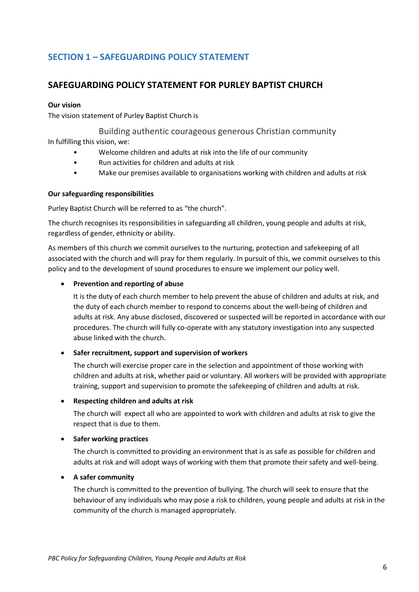# <span id="page-5-0"></span>**SECTION 1 – SAFEGUARDING POLICY STATEMENT**

# **SAFEGUARDING POLICY STATEMENT FOR PURLEY BAPTIST CHURCH**

#### **Our vision**

The vision statement of Purley Baptist Church is

Building authentic courageous generous Christian community In fulfilling this vision, we:

- Welcome children and adults at risk into the life of our community
- Run activities for children and adults at risk
- Make our premises available to organisations working with children and adults at risk

#### **Our safeguarding responsibilities**

Purley Baptist Church will be referred to as "the church".

The church recognises its responsibilities in safeguarding all children, young people and adults at risk, regardless of gender, ethnicity or ability.

As members of this church we commit ourselves to the nurturing, protection and safekeeping of all associated with the church and will pray for them regularly. In pursuit of this, we commit ourselves to this policy and to the development of sound procedures to ensure we implement our policy well.

#### • **Prevention and reporting of abuse**

It is the duty of each church member to help prevent the abuse of children and adults at risk, and the duty of each church member to respond to concerns about the well-being of children and adults at risk. Any abuse disclosed, discovered or suspected will be reported in accordance with our procedures. The church will fully co-operate with any statutory investigation into any suspected abuse linked with the church.

#### • **Safer recruitment, support and supervision of workers**

The church will exercise proper care in the selection and appointment of those working with children and adults at risk, whether paid or voluntary. All workers will be provided with appropriate training, support and supervision to promote the safekeeping of children and adults at risk.

#### • **Respecting children and adults at risk**

The church will expect all who are appointed to work with children and adults at risk to give the respect that is due to them.

#### • **Safer working practices**

The church is committed to providing an environment that is as safe as possible for children and adults at risk and will adopt ways of working with them that promote their safety and well-being.

#### • **A safer community**

The church is committed to the prevention of bullying. The church will seek to ensure that the behaviour of any individuals who may pose a risk to children, young people and adults at risk in the community of the church is managed appropriately.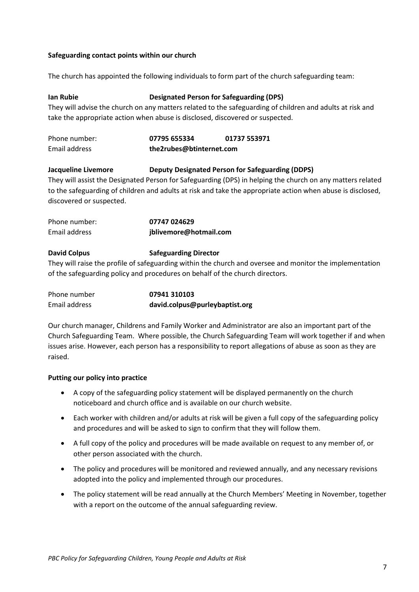#### **Safeguarding contact points within our church**

The church has appointed the following individuals to form part of the church safeguarding team:

#### **Ian Rubie Designated Person for Safeguarding (DPS)**

They will advise the church on any matters related to the safeguarding of children and adults at risk and take the appropriate action when abuse is disclosed, discovered or suspected.

| Phone number: | 07795 655334             | 01737 553971 |
|---------------|--------------------------|--------------|
| Email address | the2rubes@btinternet.com |              |

#### **Jacqueline Livemore Deputy Designated Person for Safeguarding (DDPS)**

They will assist the Designated Person for Safeguarding (DPS) in helping the church on any matters related to the safeguarding of children and adults at risk and take the appropriate action when abuse is disclosed, discovered or suspected.

| Phone number: | 07747 024629           |
|---------------|------------------------|
| Email address | jblivemore@hotmail.com |

#### **David Colpus Safeguarding Director**

They will raise the profile of safeguarding within the church and oversee and monitor the implementation of the safeguarding policy and procedures on behalf of the church directors.

| Phone number  | 07941 310103                   |
|---------------|--------------------------------|
| Email address | david.colpus@purleybaptist.org |

Our church manager, Childrens and Family Worker and Administrator are also an important part of the Church Safeguarding Team. Where possible, the Church Safeguarding Team will work together if and when issues arise. However, each person has a responsibility to report allegations of abuse as soon as they are raised.

#### **Putting our policy into practice**

- A copy of the safeguarding policy statement will be displayed permanently on the church noticeboard and church office and is available on our church website.
- Each worker with children and/or adults at risk will be given a full copy of the safeguarding policy and procedures and will be asked to sign to confirm that they will follow them.
- A full copy of the policy and procedures will be made available on request to any member of, or other person associated with the church.
- The policy and procedures will be monitored and reviewed annually, and any necessary revisions adopted into the policy and implemented through our procedures.
- The policy statement will be read annually at the Church Members' Meeting in November, together with a report on the outcome of the annual safeguarding review.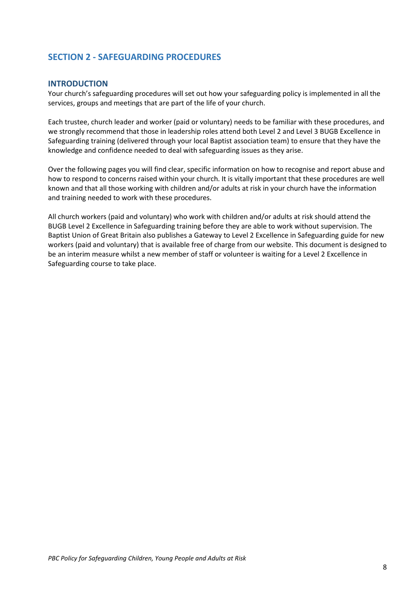# <span id="page-7-0"></span>**SECTION 2 - SAFEGUARDING PROCEDURES**

#### <span id="page-7-1"></span>**INTRODUCTION**

Your church's safeguarding procedures will set out how your safeguarding policy is implemented in all the services, groups and meetings that are part of the life of your church.

Each trustee, church leader and worker (paid or voluntary) needs to be familiar with these procedures, and we strongly recommend that those in leadership roles attend both Level 2 and Level 3 BUGB Excellence in Safeguarding training (delivered through your local Baptist association team) to ensure that they have the knowledge and confidence needed to deal with safeguarding issues as they arise.

Over the following pages you will find clear, specific information on how to recognise and report abuse and how to respond to concerns raised within your church. It is vitally important that these procedures are well known and that all those working with children and/or adults at risk in your church have the information and training needed to work with these procedures.

All church workers (paid and voluntary) who work with children and/or adults at risk should attend the BUGB Level 2 Excellence in Safeguarding training before they are able to work without supervision. The Baptist Union of Great Britain also publishes a Gateway to Level 2 Excellence in Safeguarding guide for new workers (paid and voluntary) that is available free of charge from our website. This document is designed to be an interim measure whilst a new member of staff or volunteer is waiting for a Level 2 Excellence in Safeguarding course to take place.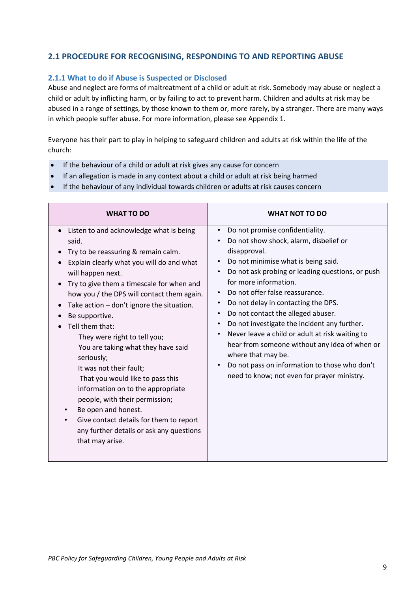# <span id="page-8-0"></span>**2.1 PROCEDURE FOR RECOGNISING, RESPONDING TO AND REPORTING ABUSE**

#### <span id="page-8-1"></span>**2.1.1 What to do if Abuse is Suspected or Disclosed**

Abuse and neglect are forms of maltreatment of a child or adult at risk. Somebody may abuse or neglect a child or adult by inflicting harm, or by failing to act to prevent harm. Children and adults at risk may be abused in a range of settings, by those known to them or, more rarely, by a stranger. There are many ways in which people suffer abuse. For more information, please see Appendix 1.

Everyone has their part to play in helping to safeguard children and adults at risk within the life of the church:

- If the behaviour of a child or adult at risk gives any cause for concern
- If an allegation is made in any context about a child or adult at risk being harmed
- If the behaviour of any individual towards children or adults at risk causes concern

| <b>WHAT TO DO</b>                                                                                                                                                                                                                                                                                                                                                                                                                                                                                                                                                                                                                                                                                                                        | <b>WHAT NOT TO DO</b>                                                                                                                                                                                                                                                                                                                                                                                                                                                                                                                                                                                                                                                                              |
|------------------------------------------------------------------------------------------------------------------------------------------------------------------------------------------------------------------------------------------------------------------------------------------------------------------------------------------------------------------------------------------------------------------------------------------------------------------------------------------------------------------------------------------------------------------------------------------------------------------------------------------------------------------------------------------------------------------------------------------|----------------------------------------------------------------------------------------------------------------------------------------------------------------------------------------------------------------------------------------------------------------------------------------------------------------------------------------------------------------------------------------------------------------------------------------------------------------------------------------------------------------------------------------------------------------------------------------------------------------------------------------------------------------------------------------------------|
| Listen to and acknowledge what is being<br>$\bullet$<br>said.<br>Try to be reassuring & remain calm.<br>Explain clearly what you will do and what<br>will happen next.<br>Try to give them a timescale for when and<br>how you / the DPS will contact them again.<br>Take action - don't ignore the situation.<br>$\bullet$<br>Be supportive.<br>Tell them that:<br>They were right to tell you;<br>You are taking what they have said<br>seriously;<br>It was not their fault;<br>That you would like to pass this<br>information on to the appropriate<br>people, with their permission;<br>Be open and honest.<br>Give contact details for them to report<br>$\bullet$<br>any further details or ask any questions<br>that may arise. | Do not promise confidentiality.<br>$\bullet$<br>Do not show shock, alarm, disbelief or<br>disapproval.<br>Do not minimise what is being said.<br>Do not ask probing or leading questions, or push<br>$\bullet$<br>for more information.<br>Do not offer false reassurance.<br>$\bullet$<br>Do not delay in contacting the DPS.<br>Do not contact the alleged abuser.<br>$\bullet$<br>Do not investigate the incident any further.<br>$\bullet$<br>Never leave a child or adult at risk waiting to<br>$\bullet$<br>hear from someone without any idea of when or<br>where that may be.<br>Do not pass on information to those who don't<br>$\bullet$<br>need to know; not even for prayer ministry. |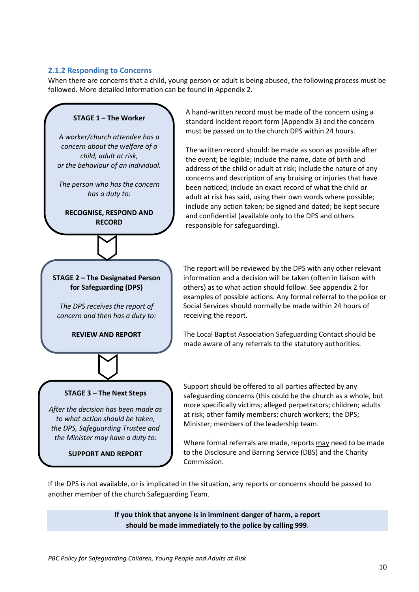#### <span id="page-9-0"></span>**2.1.2 Responding to Concerns**

When there are concerns that a child, young person or adult is being abused, the following process must be followed. More detailed information can be found in Appendix 2.



A hand-written record must be made of the concern using a standard incident report form (Appendix 3) and the concern must be passed on to the church DPS within 24 hours.

The written record should: be made as soon as possible after the event; be legible; include the name, date of birth and address of the child or adult at risk; include the nature of any concerns and description of any bruising or injuries that have been noticed; include an exact record of what the child or adult at risk has said, using their own words where possible; include any action taken; be signed and dated; be kept secure and confidential (available only to the DPS and others responsible for safeguarding).

The report will be reviewed by the DPS with any other relevant information and a decision will be taken (often in liaison with others) as to what action should follow. See appendix 2 for examples of possible actions. Any formal referral to the police or Social Services should normally be made within 24 hours of receiving the report.

The Local Baptist Association Safeguarding Contact should be made aware of any referrals to the statutory authorities.

**SUPPORT AND REPORT**

Support should be offered to all parties affected by any safeguarding concerns (this could be the church as a whole, but more specifically victims; alleged perpetrators; children; adults at risk; other family members; church workers; the DPS; Minister; members of the leadership team.

Where formal referrals are made, reports may need to be made to the Disclosure and Barring Service (DBS) and the Charity Commission.

If the DPS is not available, or is implicated in the situation, any reports or concerns should be passed to another member of the church Safeguarding Team.

> **If you think that anyone is in imminent danger of harm, a report should be made immediately to the police by calling 999**.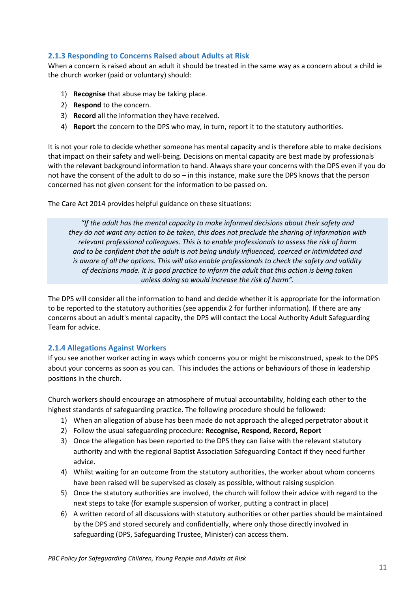# <span id="page-10-0"></span>**2.1.3 Responding to Concerns Raised about Adults at Risk**

When a concern is raised about an adult it should be treated in the same way as a concern about a child ie the church worker (paid or voluntary) should:

- 1) **Recognise** that abuse may be taking place.
- 2) **Respond** to the concern.
- 3) **Record** all the information they have received.
- 4) **Report** the concern to the DPS who may, in turn, report it to the statutory authorities.

It is not your role to decide whether someone has mental capacity and is therefore able to make decisions that impact on their safety and well-being. Decisions on mental capacity are best made by professionals with the relevant background information to hand. Always share your concerns with the DPS even if you do not have the consent of the adult to do so – in this instance, make sure the DPS knows that the person concerned has not given consent for the information to be passed on.

The Care Act 2014 provides helpful guidance on these situations:

*"If the adult has the mental capacity to make informed decisions about their safety and they do not want any action to be taken, this does not preclude the sharing of information with relevant professional colleagues. This is to enable professionals to assess the risk of harm and to be confident that the adult is not being unduly influenced, coerced or intimidated and is aware of all the options. This will also enable professionals to check the safety and validity of decisions made. It is good practice to inform the adult that this action is being taken unless doing so would increase the risk of harm".*

The DPS will consider all the information to hand and decide whether it is appropriate for the information to be reported to the statutory authorities (see appendix 2 for further information). If there are any concerns about an adult's mental capacity, the DPS will contact the Local Authority Adult Safeguarding Team for advice.

#### <span id="page-10-1"></span>**2.1.4 Allegations Against Workers**

If you see another worker acting in ways which concerns you or might be misconstrued, speak to the DPS about your concerns as soon as you can. This includes the actions or behaviours of those in leadership positions in the church.

Church workers should encourage an atmosphere of mutual accountability, holding each other to the highest standards of safeguarding practice. The following procedure should be followed:

- 1) When an allegation of abuse has been made do not approach the alleged perpetrator about it
- 2) Follow the usual safeguarding procedure: **Recognise, Respond, Record, Report**
- 3) Once the allegation has been reported to the DPS they can liaise with the relevant statutory authority and with the regional Baptist Association Safeguarding Contact if they need further advice.
- 4) Whilst waiting for an outcome from the statutory authorities, the worker about whom concerns have been raised will be supervised as closely as possible, without raising suspicion
- 5) Once the statutory authorities are involved, the church will follow their advice with regard to the next steps to take (for example suspension of worker, putting a contract in place)
- 6) A written record of all discussions with statutory authorities or other parties should be maintained by the DPS and stored securely and confidentially, where only those directly involved in safeguarding (DPS, Safeguarding Trustee, Minister) can access them.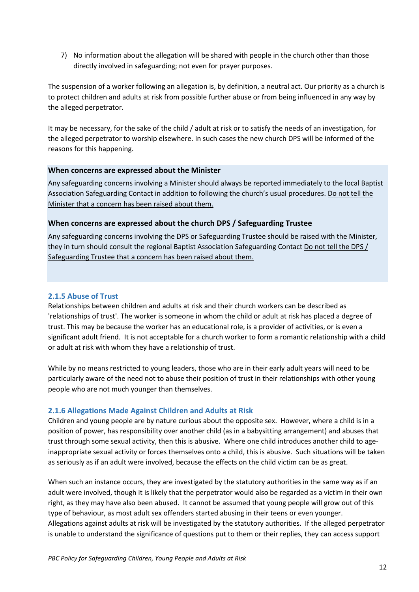7) No information about the allegation will be shared with people in the church other than those directly involved in safeguarding; not even for prayer purposes.

The suspension of a worker following an allegation is, by definition, a neutral act. Our priority as a church is to protect children and adults at risk from possible further abuse or from being influenced in any way by the alleged perpetrator.

It may be necessary, for the sake of the child / adult at risk or to satisfy the needs of an investigation, for the alleged perpetrator to worship elsewhere. In such cases the new church DPS will be informed of the reasons for this happening.

#### **When concerns are expressed about the Minister**

Any safeguarding concerns involving a Minister should always be reported immediately to the local Baptist Association Safeguarding Contact in addition to following the church's usual procedures. Do not tell the Minister that a concern has been raised about them.

#### **When concerns are expressed about the church DPS / Safeguarding Trustee**

Any safeguarding concerns involving the DPS or Safeguarding Trustee should be raised with the Minister, they in turn should consult the regional Baptist Association Safeguarding Contact Do not tell the DPS / Safeguarding Trustee that a concern has been raised about them.

#### <span id="page-11-0"></span>**2.1.5 Abuse of Trust**

Relationships between children and adults at risk and their church workers can be described as 'relationships of trust'. The worker is someone in whom the child or adult at risk has placed a degree of trust. This may be because the worker has an educational role, is a provider of activities, or is even a significant adult friend. It is not acceptable for a church worker to form a romantic relationship with a child or adult at risk with whom they have a relationship of trust.

While by no means restricted to young leaders, those who are in their early adult years will need to be particularly aware of the need not to abuse their position of trust in their relationships with other young people who are not much younger than themselves.

#### <span id="page-11-1"></span>**2.1.6 Allegations Made Against Children and Adults at Risk**

Children and young people are by nature curious about the opposite sex. However, where a child is in a position of power, has responsibility over another child (as in a babysitting arrangement) and abuses that trust through some sexual activity, then this is abusive. Where one child introduces another child to ageinappropriate sexual activity or forces themselves onto a child, this is abusive. Such situations will be taken as seriously as if an adult were involved, because the effects on the child victim can be as great.

When such an instance occurs, they are investigated by the statutory authorities in the same way as if an adult were involved, though it is likely that the perpetrator would also be regarded as a victim in their own right, as they may have also been abused. It cannot be assumed that young people will grow out of this type of behaviour, as most adult sex offenders started abusing in their teens or even younger. Allegations against adults at risk will be investigated by the statutory authorities. If the alleged perpetrator is unable to understand the significance of questions put to them or their replies, they can access support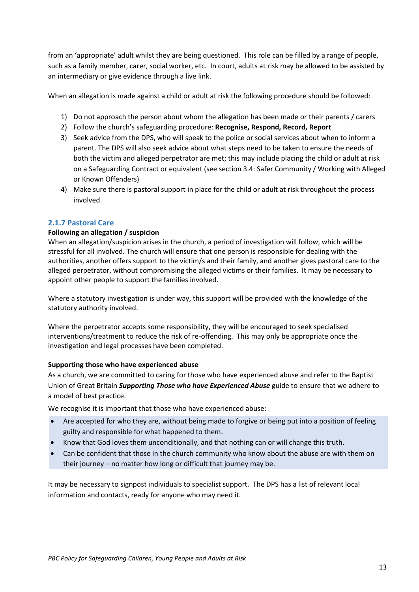from an 'appropriate' adult whilst they are being questioned. This role can be filled by a range of people, such as a family member, carer, social worker, etc. In court, adults at risk may be allowed to be assisted by an intermediary or give evidence through a live link.

When an allegation is made against a child or adult at risk the following procedure should be followed:

- 1) Do not approach the person about whom the allegation has been made or their parents / carers
- 2) Follow the church's safeguarding procedure: **Recognise, Respond, Record, Report**
- 3) Seek advice from the DPS, who will speak to the police or social services about when to inform a parent. The DPS will also seek advice about what steps need to be taken to ensure the needs of both the victim and alleged perpetrator are met; this may include placing the child or adult at risk on a Safeguarding Contract or equivalent (see section 3.4: Safer Community / Working with Alleged or Known Offenders)
- 4) Make sure there is pastoral support in place for the child or adult at risk throughout the process involved.

#### <span id="page-12-0"></span>**2.1.7 Pastoral Care**

#### **Following an allegation / suspicion**

When an allegation/suspicion arises in the church, a period of investigation will follow, which will be stressful for all involved. The church will ensure that one person is responsible for dealing with the authorities, another offers support to the victim/s and their family, and another gives pastoral care to the alleged perpetrator, without compromising the alleged victims or their families. It may be necessary to appoint other people to support the families involved.

Where a statutory investigation is under way, this support will be provided with the knowledge of the statutory authority involved.

Where the perpetrator accepts some responsibility, they will be encouraged to seek specialised interventions/treatment to reduce the risk of re-offending. This may only be appropriate once the investigation and legal processes have been completed.

#### **Supporting those who have experienced abuse**

As a church, we are committed to caring for those who have experienced abuse and refer to the Baptist Union of Great Britain *Supporting Those who have Experienced Abuse* guide to ensure that we adhere to a model of best practice.

We recognise it is important that those who have experienced abuse:

- Are accepted for who they are, without being made to forgive or being put into a position of feeling guilty and responsible for what happened to them.
- Know that God loves them unconditionally, and that nothing can or will change this truth.
- Can be confident that those in the church community who know about the abuse are with them on their journey – no matter how long or difficult that journey may be.

It may be necessary to signpost individuals to specialist support. The DPS has a list of relevant local information and contacts, ready for anyone who may need it.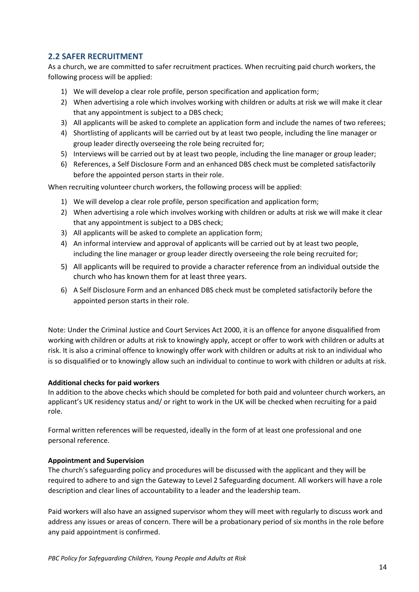# <span id="page-13-0"></span>**2.2 SAFER RECRUITMENT**

As a church, we are committed to safer recruitment practices. When recruiting paid church workers, the following process will be applied:

- 1) We will develop a clear role profile, person specification and application form;
- 2) When advertising a role which involves working with children or adults at risk we will make it clear that any appointment is subject to a DBS check;
- 3) All applicants will be asked to complete an application form and include the names of two referees;
- 4) Shortlisting of applicants will be carried out by at least two people, including the line manager or group leader directly overseeing the role being recruited for;
- 5) Interviews will be carried out by at least two people, including the line manager or group leader;
- 6) References, a Self Disclosure Form and an enhanced DBS check must be completed satisfactorily before the appointed person starts in their role.

When recruiting volunteer church workers, the following process will be applied:

- 1) We will develop a clear role profile, person specification and application form;
- 2) When advertising a role which involves working with children or adults at risk we will make it clear that any appointment is subject to a DBS check;
- 3) All applicants will be asked to complete an application form;
- 4) An informal interview and approval of applicants will be carried out by at least two people, including the line manager or group leader directly overseeing the role being recruited for;
- 5) All applicants will be required to provide a character reference from an individual outside the church who has known them for at least three years.
- 6) A Self Disclosure Form and an enhanced DBS check must be completed satisfactorily before the appointed person starts in their role.

Note: Under the Criminal Justice and Court Services Act 2000, it is an offence for anyone disqualified from working with children or adults at risk to knowingly apply, accept or offer to work with children or adults at risk. It is also a criminal offence to knowingly offer work with children or adults at risk to an individual who is so disqualified or to knowingly allow such an individual to continue to work with children or adults at risk.

#### **Additional checks for paid workers**

In addition to the above checks which should be completed for both paid and volunteer church workers, an applicant's UK residency status and/ or right to work in the UK will be checked when recruiting for a paid role.

Formal written references will be requested, ideally in the form of at least one professional and one personal reference.

#### **Appointment and Supervision**

The church's safeguarding policy and procedures will be discussed with the applicant and they will be required to adhere to and sign the Gateway to Level 2 Safeguarding document. All workers will have a role description and clear lines of accountability to a leader and the leadership team.

Paid workers will also have an assigned supervisor whom they will meet with regularly to discuss work and address any issues or areas of concern. There will be a probationary period of six months in the role before any paid appointment is confirmed.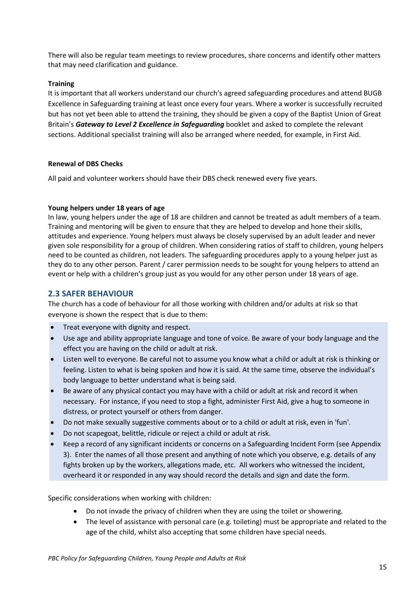There will also be regular team meetings to review procedures, share concerns and identify other matters that may need clarification and guidance.

#### **Training**

It is important that all workers understand our church's agreed safeguarding procedures and attend BUGB Excellence in Safeguarding training at least once every four years. Where a worker is successfully recruited but has not yet been able to attend the training, they should be given a copy of the Baptist Union of Great Britain's *Gateway to Level 2 Excellence in Safeguarding* booklet and asked to complete the relevant sections. Additional specialist training will also be arranged where needed, for example, in First Aid.

#### **Renewal of DBS Checks**

All paid and volunteer workers should have their DBS check renewed every five years.

#### **Young helpers under 18 years of age**

In law, young helpers under the age of 18 are children and cannot be treated as adult members of a team. Training and mentoring will be given to ensure that they are helped to develop and hone their skills, attitudes and experience. Young helpers must always be closely supervised by an adult leader and never given sole responsibility for a group of children. When considering ratios of staff to children, young helpers need to be counted as children, not leaders. The safeguarding procedures apply to a young helper just as they do to any other person. Parent / carer permission needs to be sought for young helpers to attend an event or help with a children's group just as you would for any other person under 18 years of age.

# <span id="page-14-0"></span>**2.3 SAFER BEHAVIOUR**

The church has a code of behaviour for all those working with children and/or adults at risk so that everyone is shown the respect that is due to them:

- Treat everyone with dignity and respect.
- Use age and ability appropriate language and tone of voice. Be aware of your body language and the effect you are having on the child or adult at risk.
- Listen well to everyone. Be careful not to assume you know what a child or adult at risk is thinking or feeling. Listen to what is being spoken and how it is said. At the same time, observe the individual's body language to better understand what is being said.
- Be aware of any physical contact you may have with a child or adult at risk and record it when necessary. For instance, if you need to stop a fight, administer First Aid, give a hug to someone in distress, or protect yourself or others from danger.
- Do not make sexually suggestive comments about or to a child or adult at risk, even in 'fun'.
- Do not scapegoat, belittle, ridicule or reject a child or adult at risk.
- Keep a record of any significant incidents or concerns on a Safeguarding Incident Form (see Appendix 3). Enter the names of all those present and anything of note which you observe, e.g. details of any fights broken up by the workers, allegations made, etc. All workers who witnessed the incident, overheard it or responded in any way should record the details and sign and date the form.

Specific considerations when working with children:

- Do not invade the privacy of children when they are using the toilet or showering.
- The level of assistance with personal care (e.g. toileting) must be appropriate and related to the age of the child, whilst also accepting that some children have special needs.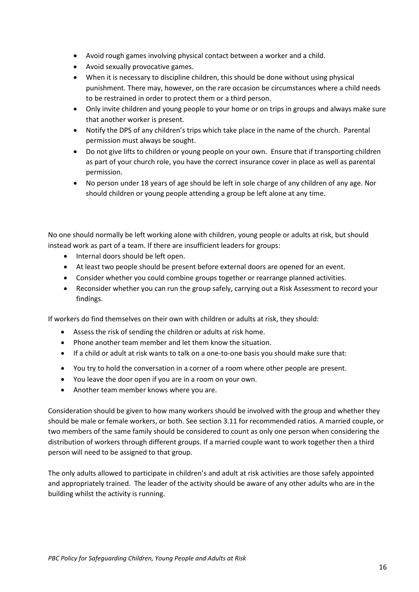- Avoid rough games involving physical contact between a worker and a child.
- Avoid sexually provocative games.
- When it is necessary to discipline children, this should be done without using physical punishment. There may, however, on the rare occasion be circumstances where a child needs to be restrained in order to protect them or a third person.
- Only invite children and young people to your home or on trips in groups and always make sure that another worker is present.
- Notify the DPS of any children's trips which take place in the name of the church. Parental permission must always be sought.
- Do not give lifts to children or young people on your own. Ensure that if transporting children as part of your church role, you have the correct insurance cover in place as well as parental permission.
- No person under 18 years of age should be left in sole charge of any children of any age. Nor should children or young people attending a group be left alone at any time.

No one should normally be left working alone with children, young people or adults at risk, but should instead work as part of a team. If there are insufficient leaders for groups:

- Internal doors should be left open.
- At least two people should be present before external doors are opened for an event.
- Consider whether you could combine groups together or rearrange planned activities.
- Reconsider whether you can run the group safely, carrying out a Risk Assessment to record your findings.

If workers do find themselves on their own with children or adults at risk, they should:

- Assess the risk of sending the children or adults at risk home.
- Phone another team member and let them know the situation.
- If a child or adult at risk wants to talk on a one-to-one basis you should make sure that:
- You try to hold the conversation in a corner of a room where other people are present.
- You leave the door open if you are in a room on your own.
- Another team member knows where you are.

Consideration should be given to how many workers should be involved with the group and whether they should be male or female workers, or both. See section 3.11 for recommended ratios. A married couple, or two members of the same family should be considered to count as only one person when considering the distribution of workers through different groups. If a married couple want to work together then a third person will need to be assigned to that group.

The only adults allowed to participate in children's and adult at risk activities are those safely appointed and appropriately trained. The leader of the activity should be aware of any other adults who are in the building whilst the activity is running.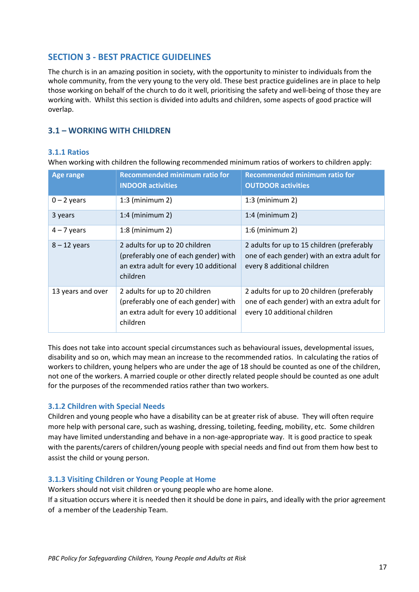# <span id="page-16-0"></span>**SECTION 3 - BEST PRACTICE GUIDELINES**

The church is in an amazing position in society, with the opportunity to minister to individuals from the whole community, from the very young to the very old. These best practice guidelines are in place to help those working on behalf of the church to do it well, prioritising the safety and well-being of those they are working with. Whilst this section is divided into adults and children, some aspects of good practice will overlap.

# <span id="page-16-1"></span>**3.1 – WORKING WITH CHILDREN**

#### <span id="page-16-2"></span>**3.1.1 Ratios**

When working with children the following recommended minimum ratios of workers to children apply:

| <b>Age range</b>  | <b>Recommended minimum ratio for</b><br><b>INDOOR activities</b>                                                             | <b>Recommended minimum ratio for</b><br><b>OUTDOOR activities</b>                                                         |
|-------------------|------------------------------------------------------------------------------------------------------------------------------|---------------------------------------------------------------------------------------------------------------------------|
| $0 - 2$ years     | $1:3$ (minimum 2)<br>$1:3$ (minimum 2)                                                                                       |                                                                                                                           |
| 3 years           | $1:4$ (minimum 2)                                                                                                            | $1:4$ (minimum 2)                                                                                                         |
| $4 - 7$ years     | $1:8$ (minimum 2)                                                                                                            | $1:6$ (minimum 2)                                                                                                         |
| $8 - 12$ years    | 2 adults for up to 20 children<br>(preferably one of each gender) with<br>an extra adult for every 10 additional<br>children | 2 adults for up to 15 children (preferably<br>one of each gender) with an extra adult for<br>every 8 additional children  |
| 13 years and over | 2 adults for up to 20 children<br>(preferably one of each gender) with<br>an extra adult for every 10 additional<br>children | 2 adults for up to 20 children (preferably<br>one of each gender) with an extra adult for<br>every 10 additional children |

This does not take into account special circumstances such as behavioural issues, developmental issues, disability and so on, which may mean an increase to the recommended ratios. In calculating the ratios of workers to children, young helpers who are under the age of 18 should be counted as one of the children, not one of the workers. A married couple or other directly related people should be counted as one adult for the purposes of the recommended ratios rather than two workers.

#### <span id="page-16-3"></span>**3.1.2 Children with Special Needs**

Children and young people who have a disability can be at greater risk of abuse. They will often require more help with personal care, such as washing, dressing, toileting, feeding, mobility, etc. Some children may have limited understanding and behave in a non-age-appropriate way. It is good practice to speak with the parents/carers of children/young people with special needs and find out from them how best to assist the child or young person.

#### <span id="page-16-4"></span>**3.1.3 Visiting Children or Young People at Home**

Workers should not visit children or young people who are home alone.

If a situation occurs where it is needed then it should be done in pairs, and ideally with the prior agreement of a member of the Leadership Team.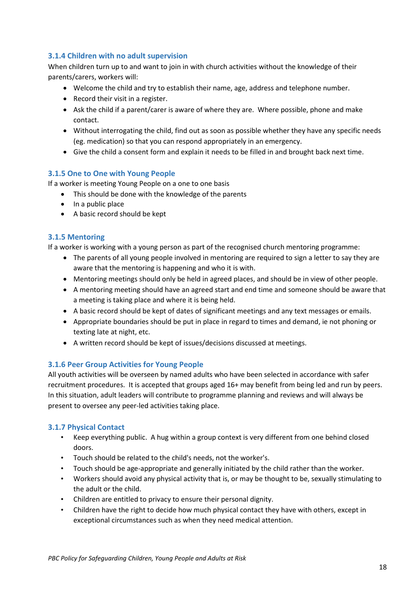# <span id="page-17-0"></span>**3.1.4 Children with no adult supervision**

When children turn up to and want to join in with church activities without the knowledge of their parents/carers, workers will:

- Welcome the child and try to establish their name, age, address and telephone number.
- Record their visit in a register.
- Ask the child if a parent/carer is aware of where they are. Where possible, phone and make contact.
- Without interrogating the child, find out as soon as possible whether they have any specific needs (eg. medication) so that you can respond appropriately in an emergency.
- Give the child a consent form and explain it needs to be filled in and brought back next time.

#### <span id="page-17-1"></span>**3.1.5 One to One with Young People**

If a worker is meeting Young People on a one to one basis

- This should be done with the knowledge of the parents
- In a public place
- A basic record should be kept

#### **3.1.5 Mentoring**

If a worker is working with a young person as part of the recognised church mentoring programme:

- The parents of all young people involved in mentoring are required to sign a letter to say they are aware that the mentoring is happening and who it is with.
- Mentoring meetings should only be held in agreed places, and should be in view of other people.
- A mentoring meeting should have an agreed start and end time and someone should be aware that a meeting is taking place and where it is being held.
- A basic record should be kept of dates of significant meetings and any text messages or emails.
- Appropriate boundaries should be put in place in regard to times and demand, ie not phoning or texting late at night, etc.
- A written record should be kept of issues/decisions discussed at meetings.

#### <span id="page-17-2"></span>**3.1.6 Peer Group Activities for Young People**

All youth activities will be overseen by named adults who have been selected in accordance with safer recruitment procedures. It is accepted that groups aged 16+ may benefit from being led and run by peers. In this situation, adult leaders will contribute to programme planning and reviews and will always be present to oversee any peer-led activities taking place.

#### <span id="page-17-3"></span>**3.1.7 Physical Contact**

- Keep everything public. A hug within a group context is very different from one behind closed doors.
- Touch should be related to the child's needs, not the worker's.
- Touch should be age-appropriate and generally initiated by the child rather than the worker.
- Workers should avoid any physical activity that is, or may be thought to be, sexually stimulating to the adult or the child.
- Children are entitled to privacy to ensure their personal dignity.
- Children have the right to decide how much physical contact they have with others, except in exceptional circumstances such as when they need medical attention.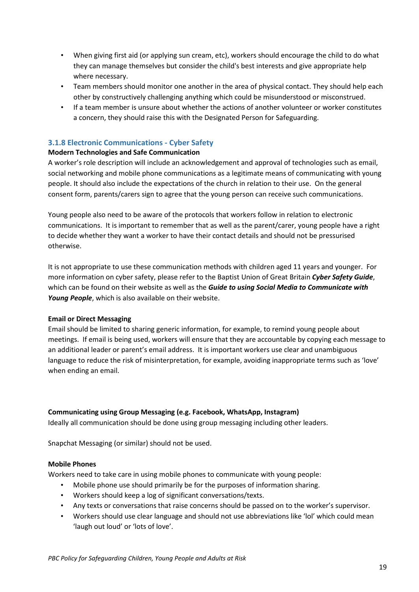- When giving first aid (or applying sun cream, etc), workers should encourage the child to do what they can manage themselves but consider the child's best interests and give appropriate help where necessary.
- Team members should monitor one another in the area of physical contact. They should help each other by constructively challenging anything which could be misunderstood or misconstrued.
- If a team member is unsure about whether the actions of another volunteer or worker constitutes a concern, they should raise this with the Designated Person for Safeguarding.

## <span id="page-18-0"></span>**3.1.8 Electronic Communications - Cyber Safety**

#### **Modern Technologies and Safe Communication**

A worker's role description will include an acknowledgement and approval of technologies such as email, social networking and mobile phone communications as a legitimate means of communicating with young people. It should also include the expectations of the church in relation to their use. On the general consent form, parents/carers sign to agree that the young person can receive such communications.

Young people also need to be aware of the protocols that workers follow in relation to electronic communications. It is important to remember that as well as the parent/carer, young people have a right to decide whether they want a worker to have their contact details and should not be pressurised otherwise.

It is not appropriate to use these communication methods with children aged 11 years and younger. For more information on cyber safety, please refer to the Baptist Union of Great Britain *Cyber Safety Guide*, which can be found on their website as well as the *Guide to using Social Media to Communicate with Young People*, which is also available on their website.

#### **Email or Direct Messaging**

Email should be limited to sharing generic information, for example, to remind young people about meetings. If email is being used, workers will ensure that they are accountable by copying each message to an additional leader or parent's email address. It is important workers use clear and unambiguous language to reduce the risk of misinterpretation, for example, avoiding inappropriate terms such as 'love' when ending an email.

#### **Communicating using Group Messaging (e.g. Facebook, WhatsApp, Instagram)**

Ideally all communication should be done using group messaging including other leaders.

Snapchat Messaging (or similar) should not be used.

#### **Mobile Phones**

Workers need to take care in using mobile phones to communicate with young people:

- Mobile phone use should primarily be for the purposes of information sharing.
- Workers should keep a log of significant conversations/texts.
- Any texts or conversations that raise concerns should be passed on to the worker's supervisor.
- Workers should use clear language and should not use abbreviations like 'lol' which could mean 'laugh out loud' or 'lots of love'.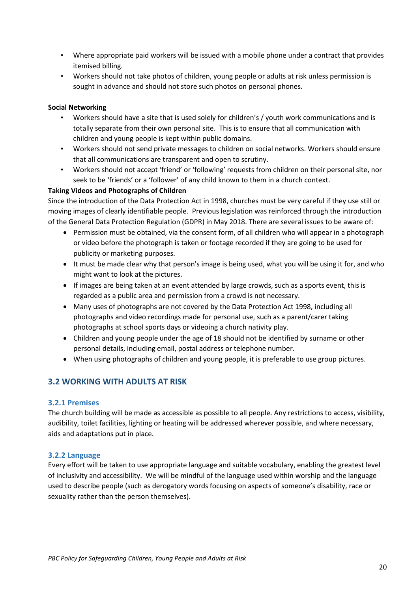- Where appropriate paid workers will be issued with a mobile phone under a contract that provides itemised billing.
- Workers should not take photos of children, young people or adults at risk unless permission is sought in advance and should not store such photos on personal phones.

#### **Social Networking**

- Workers should have a site that is used solely for children's / youth work communications and is totally separate from their own personal site. This is to ensure that all communication with children and young people is kept within public domains.
- Workers should not send private messages to children on social networks. Workers should ensure that all communications are transparent and open to scrutiny.
- Workers should not accept 'friend' or 'following' requests from children on their personal site, nor seek to be 'friends' or a 'follower' of any child known to them in a church context.

#### **Taking Videos and Photographs of Children**

Since the introduction of the Data Protection Act in 1998, churches must be very careful if they use still or moving images of clearly identifiable people. Previous legislation was reinforced through the introduction of the General Data Protection Regulation (GDPR) in May 2018. There are several issues to be aware of:

- Permission must be obtained, via the consent form, of all children who will appear in a photograph or video before the photograph is taken or footage recorded if they are going to be used for publicity or marketing purposes.
- It must be made clear why that person's image is being used, what you will be using it for, and who might want to look at the pictures.
- If images are being taken at an event attended by large crowds, such as a sports event, this is regarded as a public area and permission from a crowd is not necessary.
- Many uses of photographs are not covered by the Data Protection Act 1998, including all photographs and video recordings made for personal use, such as a parent/carer taking photographs at school sports days or videoing a church nativity play.
- Children and young people under the age of 18 should not be identified by surname or other personal details, including email, postal address or telephone number.
- When using photographs of children and young people, it is preferable to use group pictures.

# <span id="page-19-0"></span>**3.2 WORKING WITH ADULTS AT RISK**

#### <span id="page-19-1"></span>**3.2.1 Premises**

The church building will be made as accessible as possible to all people. Any restrictions to access, visibility, audibility, toilet facilities, lighting or heating will be addressed wherever possible, and where necessary, aids and adaptations put in place.

#### <span id="page-19-2"></span>**3.2.2 Language**

Every effort will be taken to use appropriate language and suitable vocabulary, enabling the greatest level of inclusivity and accessibility. We will be mindful of the language used within worship and the language used to describe people (such as derogatory words focusing on aspects of someone's disability, race or sexuality rather than the person themselves).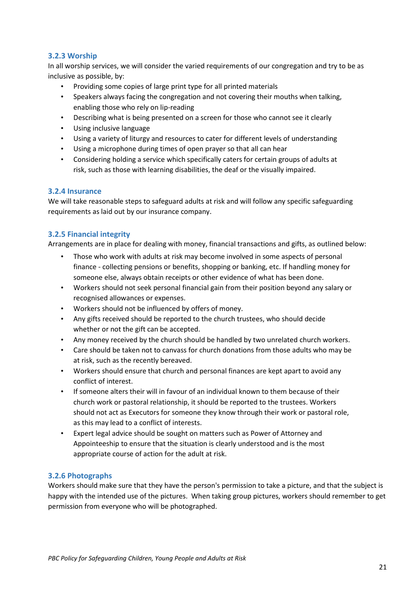# <span id="page-20-0"></span>**3.2.3 Worship**

In all worship services, we will consider the varied requirements of our congregation and try to be as inclusive as possible, by:

- Providing some copies of large print type for all printed materials
- Speakers always facing the congregation and not covering their mouths when talking, enabling those who rely on lip-reading
- Describing what is being presented on a screen for those who cannot see it clearly
- Using inclusive language
- Using a variety of liturgy and resources to cater for different levels of understanding
- Using a microphone during times of open prayer so that all can hear
- Considering holding a service which specifically caters for certain groups of adults at risk, such as those with learning disabilities, the deaf or the visually impaired.

#### <span id="page-20-1"></span>**3.2.4 Insurance**

We will take reasonable steps to safeguard adults at risk and will follow any specific safeguarding requirements as laid out by our insurance company.

#### <span id="page-20-2"></span>**3.2.5 Financial integrity**

Arrangements are in place for dealing with money, financial transactions and gifts, as outlined below:

- Those who work with adults at risk may become involved in some aspects of personal finance - collecting pensions or benefits, shopping or banking, etc. If handling money for someone else, always obtain receipts or other evidence of what has been done.
- Workers should not seek personal financial gain from their position beyond any salary or recognised allowances or expenses.
- Workers should not be influenced by offers of money.
- Any gifts received should be reported to the church trustees, who should decide whether or not the gift can be accepted.
- Any money received by the church should be handled by two unrelated church workers.
- Care should be taken not to canvass for church donations from those adults who may be at risk, such as the recently bereaved.
- Workers should ensure that church and personal finances are kept apart to avoid any conflict of interest.
- If someone alters their will in favour of an individual known to them because of their church work or pastoral relationship, it should be reported to the trustees. Workers should not act as Executors for someone they know through their work or pastoral role, as this may lead to a conflict of interests.
- Expert legal advice should be sought on matters such as Power of Attorney and Appointeeship to ensure that the situation is clearly understood and is the most appropriate course of action for the adult at risk.

# <span id="page-20-3"></span>**3.2.6 Photographs**

Workers should make sure that they have the person's permission to take a picture, and that the subject is happy with the intended use of the pictures. When taking group pictures, workers should remember to get permission from everyone who will be photographed.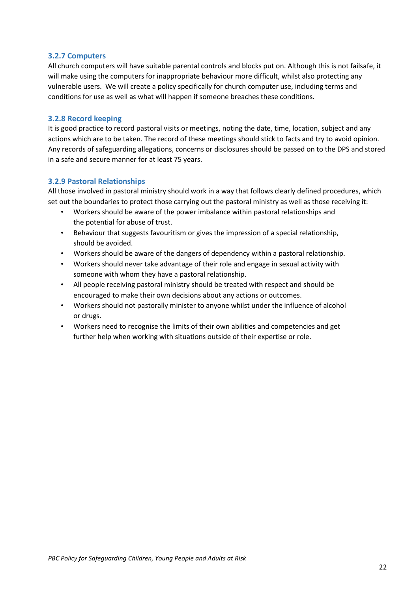#### <span id="page-21-0"></span>**3.2.7 Computers**

All church computers will have suitable parental controls and blocks put on. Although this is not failsafe, it will make using the computers for inappropriate behaviour more difficult, whilst also protecting any vulnerable users. We will create a policy specifically for church computer use, including terms and conditions for use as well as what will happen if someone breaches these conditions.

#### <span id="page-21-1"></span>**3.2.8 Record keeping**

It is good practice to record pastoral visits or meetings, noting the date, time, location, subject and any actions which are to be taken. The record of these meetings should stick to facts and try to avoid opinion. Any records of safeguarding allegations, concerns or disclosures should be passed on to the DPS and stored in a safe and secure manner for at least 75 years.

#### <span id="page-21-2"></span>**3.2.9 Pastoral Relationships**

All those involved in pastoral ministry should work in a way that follows clearly defined procedures, which set out the boundaries to protect those carrying out the pastoral ministry as well as those receiving it:

- Workers should be aware of the power imbalance within pastoral relationships and the potential for abuse of trust.
- Behaviour that suggests favouritism or gives the impression of a special relationship, should be avoided.
- Workers should be aware of the dangers of dependency within a pastoral relationship.
- Workers should never take advantage of their role and engage in sexual activity with someone with whom they have a pastoral relationship.
- All people receiving pastoral ministry should be treated with respect and should be encouraged to make their own decisions about any actions or outcomes.
- Workers should not pastorally minister to anyone whilst under the influence of alcohol or drugs.
- Workers need to recognise the limits of their own abilities and competencies and get further help when working with situations outside of their expertise or role.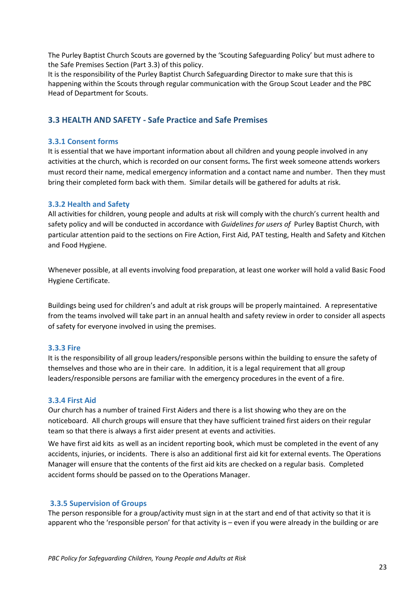The Purley Baptist Church Scouts are governed by the 'Scouting Safeguarding Policy' but must adhere to the Safe Premises Section (Part 3.3) of this policy.

It is the responsibility of the Purley Baptist Church Safeguarding Director to make sure that this is happening within the Scouts through regular communication with the Group Scout Leader and the PBC Head of Department for Scouts.

# <span id="page-22-0"></span>**3.3 HEALTH AND SAFETY - Safe Practice and Safe Premises**

#### <span id="page-22-1"></span>**3.3.1 Consent forms**

It is essential that we have important information about all children and young people involved in any activities at the church, which is recorded on our consent forms**.** The first week someone attends workers must record their name, medical emergency information and a contact name and number. Then they must bring their completed form back with them. Similar details will be gathered for adults at risk.

#### <span id="page-22-2"></span>**3.3.2 Health and Safety**

All activities for children, young people and adults at risk will comply with the church's current health and safety policy and will be conducted in accordance with *Guidelines for users of* Purley Baptist Church, with particular attention paid to the sections on Fire Action, First Aid, PAT testing, Health and Safety and Kitchen and Food Hygiene.

Whenever possible, at all events involving food preparation, at least one worker will hold a valid Basic Food Hygiene Certificate.

Buildings being used for children's and adult at risk groups will be properly maintained. A representative from the teams involved will take part in an annual health and safety review in order to consider all aspects of safety for everyone involved in using the premises.

#### <span id="page-22-3"></span>**3.3.3 Fire**

It is the responsibility of all group leaders/responsible persons within the building to ensure the safety of themselves and those who are in their care. In addition, it is a legal requirement that all group leaders/responsible persons are familiar with the emergency procedures in the event of a fire.

#### <span id="page-22-4"></span>**3.3.4 First Aid**

Our church has a number of trained First Aiders and there is a list showing who they are on the noticeboard. All church groups will ensure that they have sufficient trained first aiders on their regular team so that there is always a first aider present at events and activities.

We have first aid kits as well as an incident reporting book, which must be completed in the event of any accidents, injuries, or incidents. There is also an additional first aid kit for external events. The Operations Manager will ensure that the contents of the first aid kits are checked on a regular basis. Completed accident forms should be passed on to the Operations Manager.

#### <span id="page-22-5"></span>**3.3.5 Supervision of Groups**

The person responsible for a group/activity must sign in at the start and end of that activity so that it is apparent who the 'responsible person' for that activity is – even if you were already in the building or are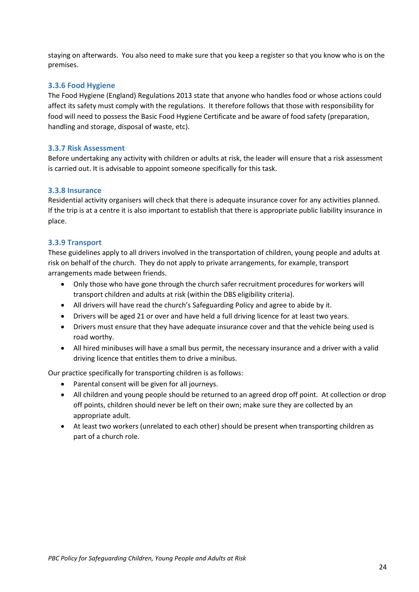staying on afterwards. You also need to make sure that you keep a register so that you know who is on the premises.

#### <span id="page-23-0"></span>**3.3.6 Food Hygiene**

The Food Hygiene (England) Regulations 2013 state that anyone who handles food or whose actions could affect its safety must comply with the regulations. It therefore follows that those with responsibility for food will need to possess the Basic Food Hygiene Certificate and be aware of food safety (preparation, handling and storage, disposal of waste, etc).

#### <span id="page-23-1"></span>**3.3.7 Risk Assessment**

Before undertaking any activity with children or adults at risk, the leader will ensure that a risk assessment is carried out. It is advisable to appoint someone specifically for this task.

#### <span id="page-23-2"></span>**3.3.8 Insurance**

Residential activity organisers will check that there is adequate insurance cover for any activities planned. If the trip is at a centre it is also important to establish that there is appropriate public liability insurance in place.

#### <span id="page-23-3"></span>**3.3.9 Transport**

These guidelines apply to all drivers involved in the transportation of children, young people and adults at risk on behalf of the church. They do not apply to private arrangements, for example, transport arrangements made between friends.

- Only those who have gone through the church safer recruitment procedures for workers will transport children and adults at risk (within the DBS eligibility criteria).
- All drivers will have read the church's Safeguarding Policy and agree to abide by it.
- Drivers will be aged 21 or over and have held a full driving licence for at least two years.
- Drivers must ensure that they have adequate insurance cover and that the vehicle being used is road worthy.
- All hired minibuses will have a small bus permit, the necessary insurance and a driver with a valid driving licence that entitles them to drive a minibus.

Our practice specifically for transporting children is as follows:

- Parental consent will be given for all journeys.
- All children and young people should be returned to an agreed drop off point. At collection or drop off points, children should never be left on their own; make sure they are collected by an appropriate adult.
- At least two workers (unrelated to each other) should be present when transporting children as part of a church role.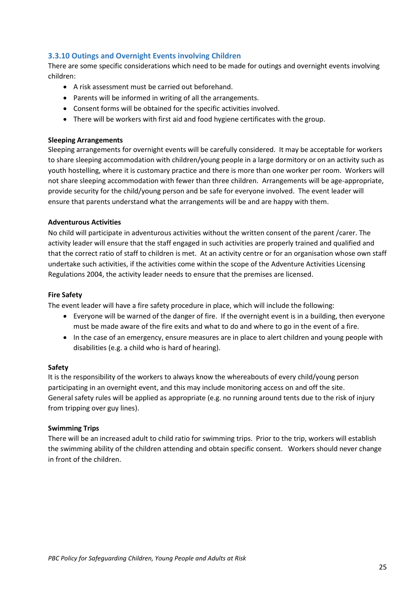# <span id="page-24-0"></span>**3.3.10 Outings and Overnight Events involving Children**

There are some specific considerations which need to be made for outings and overnight events involving children:

- A risk assessment must be carried out beforehand.
- Parents will be informed in writing of all the arrangements.
- Consent forms will be obtained for the specific activities involved.
- There will be workers with first aid and food hygiene certificates with the group.

#### **Sleeping Arrangements**

Sleeping arrangements for overnight events will be carefully considered. It may be acceptable for workers to share sleeping accommodation with children/young people in a large dormitory or on an activity such as youth hostelling, where it is customary practice and there is more than one worker per room. Workers will not share sleeping accommodation with fewer than three children. Arrangements will be age-appropriate, provide security for the child/young person and be safe for everyone involved. The event leader will ensure that parents understand what the arrangements will be and are happy with them.

#### **Adventurous Activities**

No child will participate in adventurous activities without the written consent of the parent /carer. The activity leader will ensure that the staff engaged in such activities are properly trained and qualified and that the correct ratio of staff to children is met. At an activity centre or for an organisation whose own staff undertake such activities, if the activities come within the scope of the Adventure Activities Licensing Regulations 2004, the activity leader needs to ensure that the premises are licensed.

#### **Fire Safety**

The event leader will have a fire safety procedure in place, which will include the following:

- Everyone will be warned of the danger of fire. If the overnight event is in a building, then everyone must be made aware of the fire exits and what to do and where to go in the event of a fire.
- In the case of an emergency, ensure measures are in place to alert children and young people with disabilities (e.g. a child who is hard of hearing).

#### **Safety**

It is the responsibility of the workers to always know the whereabouts of every child/young person participating in an overnight event, and this may include monitoring access on and off the site. General safety rules will be applied as appropriate (e.g. no running around tents due to the risk of injury from tripping over guy lines).

#### **Swimming Trips**

There will be an increased adult to child ratio for swimming trips. Prior to the trip, workers will establish the swimming ability of the children attending and obtain specific consent. Workers should never change in front of the children.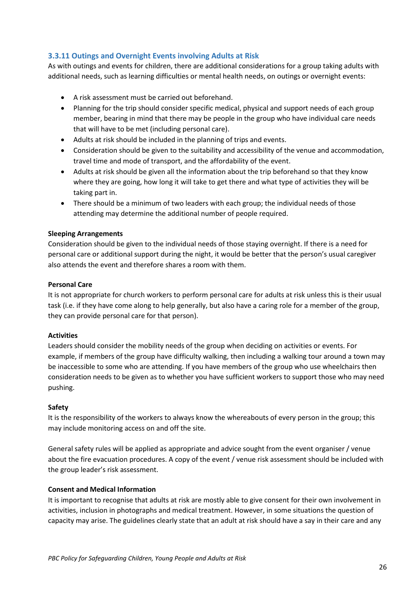# <span id="page-25-0"></span>**3.3.11 Outings and Overnight Events involving Adults at Risk**

As with outings and events for children, there are additional considerations for a group taking adults with additional needs, such as learning difficulties or mental health needs, on outings or overnight events:

- A risk assessment must be carried out beforehand.
- Planning for the trip should consider specific medical, physical and support needs of each group member, bearing in mind that there may be people in the group who have individual care needs that will have to be met (including personal care).
- Adults at risk should be included in the planning of trips and events.
- Consideration should be given to the suitability and accessibility of the venue and accommodation, travel time and mode of transport, and the affordability of the event.
- Adults at risk should be given all the information about the trip beforehand so that they know where they are going, how long it will take to get there and what type of activities they will be taking part in.
- There should be a minimum of two leaders with each group; the individual needs of those attending may determine the additional number of people required.

#### **Sleeping Arrangements**

Consideration should be given to the individual needs of those staying overnight. If there is a need for personal care or additional support during the night, it would be better that the person's usual caregiver also attends the event and therefore shares a room with them.

#### **Personal Care**

It is not appropriate for church workers to perform personal care for adults at risk unless this is their usual task (i.e. if they have come along to help generally, but also have a caring role for a member of the group, they can provide personal care for that person).

#### **Activities**

Leaders should consider the mobility needs of the group when deciding on activities or events. For example, if members of the group have difficulty walking, then including a walking tour around a town may be inaccessible to some who are attending. If you have members of the group who use wheelchairs then consideration needs to be given as to whether you have sufficient workers to support those who may need pushing.

#### **Safety**

It is the responsibility of the workers to always know the whereabouts of every person in the group; this may include monitoring access on and off the site.

General safety rules will be applied as appropriate and advice sought from the event organiser / venue about the fire evacuation procedures. A copy of the event / venue risk assessment should be included with the group leader's risk assessment.

#### **Consent and Medical Information**

It is important to recognise that adults at risk are mostly able to give consent for their own involvement in activities, inclusion in photographs and medical treatment. However, in some situations the question of capacity may arise. The guidelines clearly state that an adult at risk should have a say in their care and any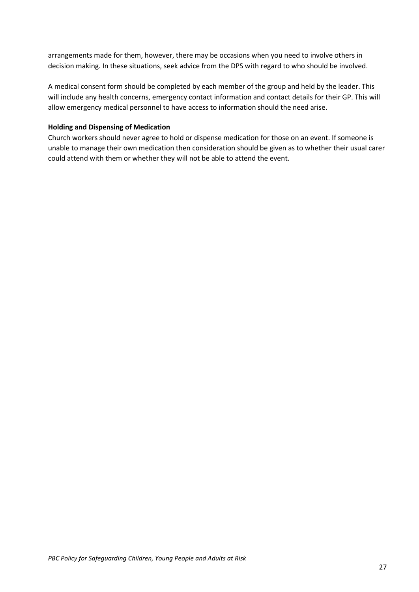arrangements made for them, however, there may be occasions when you need to involve others in decision making. In these situations, seek advice from the DPS with regard to who should be involved.

A medical consent form should be completed by each member of the group and held by the leader. This will include any health concerns, emergency contact information and contact details for their GP. This will allow emergency medical personnel to have access to information should the need arise.

#### **Holding and Dispensing of Medication**

<span id="page-26-0"></span>Church workers should never agree to hold or dispense medication for those on an event. If someone is unable to manage their own medication then consideration should be given as to whether their usual carer could attend with them or whether they will not be able to attend the event.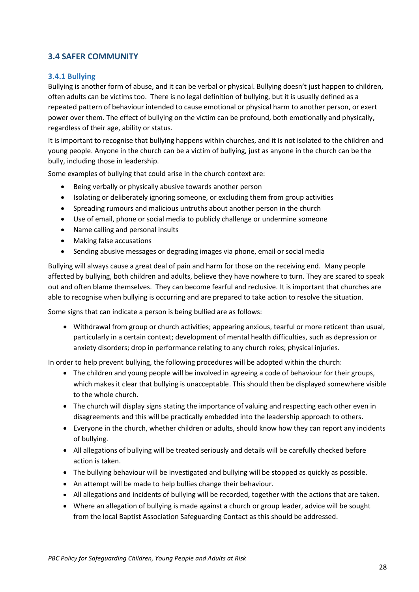# **3.4 SAFER COMMUNITY**

#### <span id="page-27-0"></span>**3.4.1 Bullying**

Bullying is another form of abuse, and it can be verbal or physical. Bullying doesn't just happen to children, often adults can be victims too. There is no legal definition of bullying, but it is usually defined as a repeated pattern of behaviour intended to cause emotional or physical harm to another person, or exert power over them. The effect of bullying on the victim can be profound, both emotionally and physically, regardless of their age, ability or status.

It is important to recognise that bullying happens within churches, and it is not isolated to the children and young people. Anyone in the church can be a victim of bullying, just as anyone in the church can be the bully, including those in leadership.

Some examples of bullying that could arise in the church context are:

- Being verbally or physically abusive towards another person
- Isolating or deliberately ignoring someone, or excluding them from group activities
- Spreading rumours and malicious untruths about another person in the church
- Use of email, phone or social media to publicly challenge or undermine someone
- Name calling and personal insults
- Making false accusations
- Sending abusive messages or degrading images via phone, email or social media

Bullying will always cause a great deal of pain and harm for those on the receiving end. Many people affected by bullying, both children and adults, believe they have nowhere to turn. They are scared to speak out and often blame themselves. They can become fearful and reclusive. It is important that churches are able to recognise when bullying is occurring and are prepared to take action to resolve the situation.

Some signs that can indicate a person is being bullied are as follows:

• Withdrawal from group or church activities; appearing anxious, tearful or more reticent than usual, particularly in a certain context; development of mental health difficulties, such as depression or anxiety disorders; drop in performance relating to any church roles; physical injuries.

In order to help prevent bullying, the following procedures will be adopted within the church:

- The children and young people will be involved in agreeing a code of behaviour for their groups, which makes it clear that bullying is unacceptable. This should then be displayed somewhere visible to the whole church.
- The church will display signs stating the importance of valuing and respecting each other even in disagreements and this will be practically embedded into the leadership approach to others.
- Everyone in the church, whether children or adults, should know how they can report any incidents of bullying.
- All allegations of bullying will be treated seriously and details will be carefully checked before action is taken.
- The bullying behaviour will be investigated and bullying will be stopped as quickly as possible.
- An attempt will be made to help bullies change their behaviour.
- All allegations and incidents of bullying will be recorded, together with the actions that are taken.
- Where an allegation of bullying is made against a church or group leader, advice will be sought from the local Baptist Association Safeguarding Contact as this should be addressed.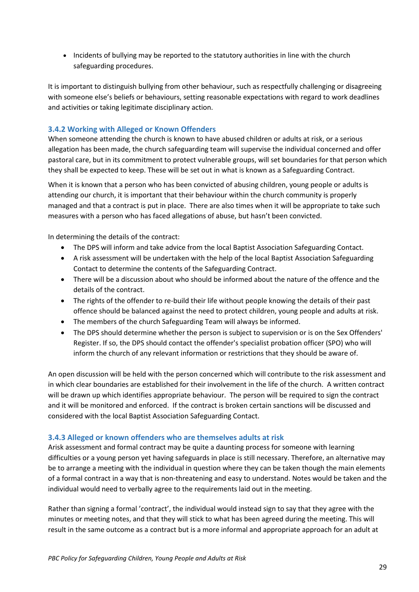• Incidents of bullying may be reported to the statutory authorities in line with the church safeguarding procedures.

It is important to distinguish bullying from other behaviour, such as respectfully challenging or disagreeing with someone else's beliefs or behaviours, setting reasonable expectations with regard to work deadlines and activities or taking legitimate disciplinary action.

# <span id="page-28-0"></span>**3.4.2 Working with Alleged or Known Offenders**

When someone attending the church is known to have abused children or adults at risk, or a serious allegation has been made, the church safeguarding team will supervise the individual concerned and offer pastoral care, but in its commitment to protect vulnerable groups, will set boundaries for that person which they shall be expected to keep. These will be set out in what is known as a Safeguarding Contract.

When it is known that a person who has been convicted of abusing children, young people or adults is attending our church, it is important that their behaviour within the church community is properly managed and that a contract is put in place. There are also times when it will be appropriate to take such measures with a person who has faced allegations of abuse, but hasn't been convicted.

In determining the details of the contract:

- The DPS will inform and take advice from the local Baptist Association Safeguarding Contact.
- A risk assessment will be undertaken with the help of the local Baptist Association Safeguarding Contact to determine the contents of the Safeguarding Contract.
- There will be a discussion about who should be informed about the nature of the offence and the details of the contract.
- The rights of the offender to re-build their life without people knowing the details of their past offence should be balanced against the need to protect children, young people and adults at risk.
- The members of the church Safeguarding Team will always be informed.
- The DPS should determine whether the person is subject to supervision or is on the Sex Offenders' Register. If so, the DPS should contact the offender's specialist probation officer (SPO) who will inform the church of any relevant information or restrictions that they should be aware of.

An open discussion will be held with the person concerned which will contribute to the risk assessment and in which clear boundaries are established for their involvement in the life of the church. A written contract will be drawn up which identifies appropriate behaviour. The person will be required to sign the contract and it will be monitored and enforced. If the contract is broken certain sanctions will be discussed and considered with the local Baptist Association Safeguarding Contact.

#### <span id="page-28-1"></span>**3.4.3 Alleged or known offenders who are themselves adults at risk**

Arisk assessment and formal contract may be quite a daunting process for someone with learning difficulties or a young person yet having safeguards in place is still necessary. Therefore, an alternative may be to arrange a meeting with the individual in question where they can be taken though the main elements of a formal contract in a way that is non-threatening and easy to understand. Notes would be taken and the individual would need to verbally agree to the requirements laid out in the meeting.

Rather than signing a formal 'contract', the individual would instead sign to say that they agree with the minutes or meeting notes, and that they will stick to what has been agreed during the meeting. This will result in the same outcome as a contract but is a more informal and appropriate approach for an adult at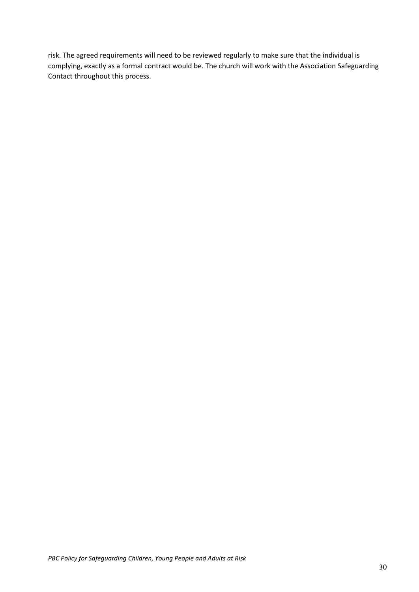risk. The agreed requirements will need to be reviewed regularly to make sure that the individual is complying, exactly as a formal contract would be. The church will work with the Association Safeguarding Contact throughout this process.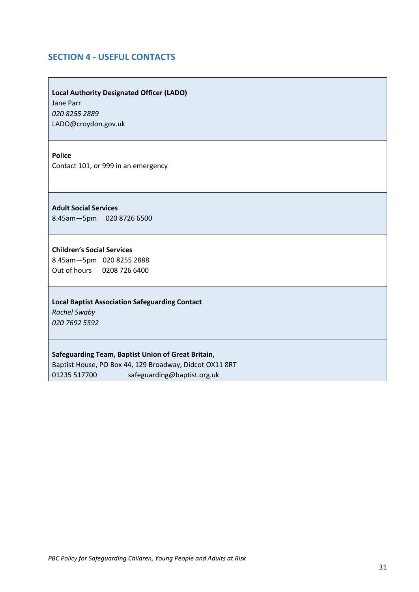# <span id="page-30-0"></span>**SECTION 4 - USEFUL CONTACTS**

**Local Authority Designated Officer (LADO)** Jane Parr

*020 8255 2889* LADO@croydon.gov.uk

**Police**

Contact 101, or 999 in an emergency

**Adult Social Services**

8.45am—5pm 020 8726 6500

#### **Children's Social Services**

8.45am—5pm 020 8255 2888 Out of hours 0208 726 6400

#### **Local Baptist Association Safeguarding Contact**

*Rachel Swaby 020 7692 5592* 

#### **Safeguarding Team, Baptist Union of Great Britain,**

Baptist House, PO Box 44, 129 Broadway, Didcot OX11 8RT 01235 517700 safeguarding@baptist.org.uk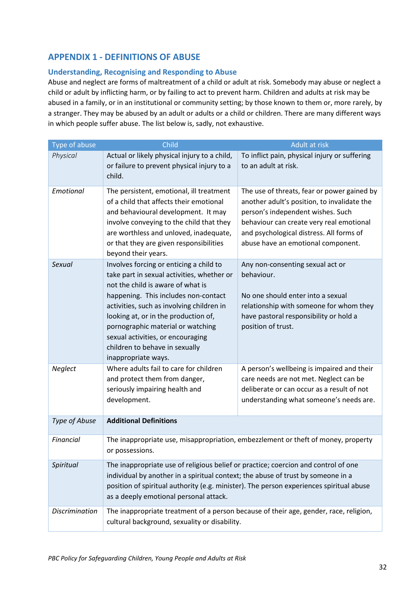# <span id="page-31-0"></span>**APPENDIX 1 - DEFINITIONS OF ABUSE**

## **Understanding, Recognising and Responding to Abuse**

Abuse and neglect are forms of maltreatment of a child or adult at risk. Somebody may abuse or neglect a child or adult by inflicting harm, or by failing to act to prevent harm. Children and adults at risk may be abused in a family, or in an institutional or community setting; by those known to them or, more rarely, by a stranger. They may be abused by an adult or adults or a child or children. There are many different ways in which people suffer abuse. The list below is, sadly, not exhaustive.

| Type of abuse         | Child<br>Adult at risk                                                                                                                                                                                                                                                                                                                                                                     |                                                                                                                                                                                                                                                               |  |
|-----------------------|--------------------------------------------------------------------------------------------------------------------------------------------------------------------------------------------------------------------------------------------------------------------------------------------------------------------------------------------------------------------------------------------|---------------------------------------------------------------------------------------------------------------------------------------------------------------------------------------------------------------------------------------------------------------|--|
| Physical              | Actual or likely physical injury to a child,<br>or failure to prevent physical injury to a<br>child.                                                                                                                                                                                                                                                                                       | To inflict pain, physical injury or suffering<br>to an adult at risk.                                                                                                                                                                                         |  |
| Emotional             | The persistent, emotional, ill treatment<br>of a child that affects their emotional<br>and behavioural development. It may<br>involve conveying to the child that they<br>are worthless and unloved, inadequate,<br>or that they are given responsibilities<br>beyond their years.                                                                                                         | The use of threats, fear or power gained by<br>another adult's position, to invalidate the<br>person's independent wishes. Such<br>behaviour can create very real emotional<br>and psychological distress. All forms of<br>abuse have an emotional component. |  |
| Sexual                | Involves forcing or enticing a child to<br>take part in sexual activities, whether or<br>not the child is aware of what is<br>happening. This includes non-contact<br>activities, such as involving children in<br>looking at, or in the production of,<br>pornographic material or watching<br>sexual activities, or encouraging<br>children to behave in sexually<br>inappropriate ways. | Any non-consenting sexual act or<br>behaviour.<br>No one should enter into a sexual<br>relationship with someone for whom they<br>have pastoral responsibility or hold a<br>position of trust.                                                                |  |
| Neglect               | Where adults fail to care for children<br>and protect them from danger,<br>seriously impairing health and<br>development.                                                                                                                                                                                                                                                                  | A person's wellbeing is impaired and their<br>care needs are not met. Neglect can be<br>deliberate or can occur as a result of not<br>understanding what someone's needs are.                                                                                 |  |
| Type of Abuse         | <b>Additional Definitions</b>                                                                                                                                                                                                                                                                                                                                                              |                                                                                                                                                                                                                                                               |  |
| Financial             | The inappropriate use, misappropriation, embezzlement or theft of money, property<br>or possessions.                                                                                                                                                                                                                                                                                       |                                                                                                                                                                                                                                                               |  |
| Spiritual             | The inappropriate use of religious belief or practice; coercion and control of one<br>individual by another in a spiritual context; the abuse of trust by someone in a<br>position of spiritual authority (e.g. minister). The person experiences spiritual abuse<br>as a deeply emotional personal attack.                                                                                |                                                                                                                                                                                                                                                               |  |
| <b>Discrimination</b> | The inappropriate treatment of a person because of their age, gender, race, religion,<br>cultural background, sexuality or disability.                                                                                                                                                                                                                                                     |                                                                                                                                                                                                                                                               |  |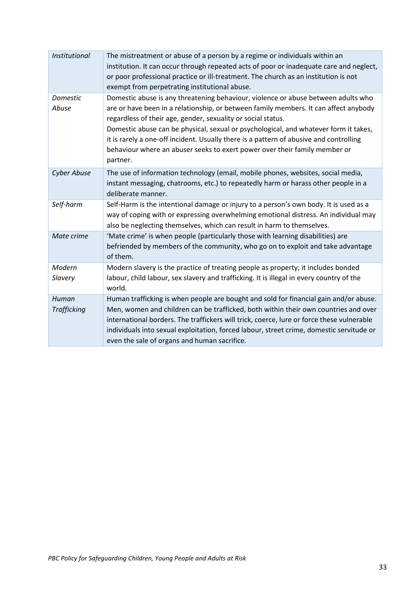| Institutional               | The mistreatment or abuse of a person by a regime or individuals within an<br>institution. It can occur through repeated acts of poor or inadequate care and neglect,<br>or poor professional practice or ill-treatment. The church as an institution is not<br>exempt from perpetrating institutional abuse.                                                                                                                                                                                                         |
|-----------------------------|-----------------------------------------------------------------------------------------------------------------------------------------------------------------------------------------------------------------------------------------------------------------------------------------------------------------------------------------------------------------------------------------------------------------------------------------------------------------------------------------------------------------------|
| Domestic<br>Abuse           | Domestic abuse is any threatening behaviour, violence or abuse between adults who<br>are or have been in a relationship, or between family members. It can affect anybody<br>regardless of their age, gender, sexuality or social status.<br>Domestic abuse can be physical, sexual or psychological, and whatever form it takes,<br>it is rarely a one-off incident. Usually there is a pattern of abusive and controlling<br>behaviour where an abuser seeks to exert power over their family member or<br>partner. |
| <b>Cyber Abuse</b>          | The use of information technology (email, mobile phones, websites, social media,<br>instant messaging, chatrooms, etc.) to repeatedly harm or harass other people in a<br>deliberate manner.                                                                                                                                                                                                                                                                                                                          |
| Self-harm                   | Self-Harm is the intentional damage or injury to a person's own body. It is used as a<br>way of coping with or expressing overwhelming emotional distress. An individual may<br>also be neglecting themselves, which can result in harm to themselves.                                                                                                                                                                                                                                                                |
| Mate crime                  | 'Mate crime' is when people (particularly those with learning disabilities) are<br>befriended by members of the community, who go on to exploit and take advantage<br>of them.                                                                                                                                                                                                                                                                                                                                        |
| Modern<br>Slavery           | Modern slavery is the practice of treating people as property; it includes bonded<br>labour, child labour, sex slavery and trafficking. It is illegal in every country of the<br>world.                                                                                                                                                                                                                                                                                                                               |
| Human<br><b>Trafficking</b> | Human trafficking is when people are bought and sold for financial gain and/or abuse.<br>Men, women and children can be trafficked, both within their own countries and over<br>international borders. The traffickers will trick, coerce, lure or force these vulnerable<br>individuals into sexual exploitation, forced labour, street crime, domestic servitude or<br>even the sale of organs and human sacrifice.                                                                                                 |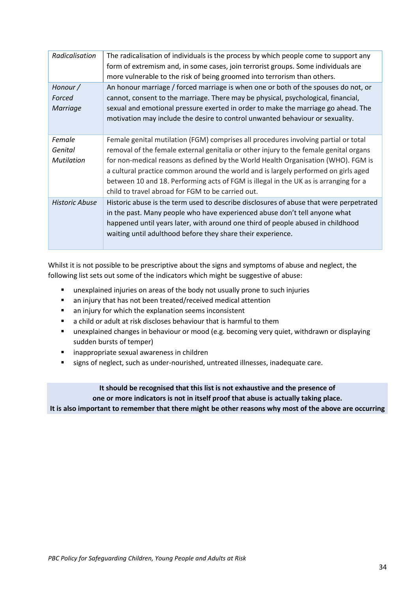| Radicalisation                         | The radicalisation of individuals is the process by which people come to support any<br>form of extremism and, in some cases, join terrorist groups. Some individuals are<br>more vulnerable to the risk of being groomed into terrorism than others.                                                                                                                                                                                                                                                |
|----------------------------------------|------------------------------------------------------------------------------------------------------------------------------------------------------------------------------------------------------------------------------------------------------------------------------------------------------------------------------------------------------------------------------------------------------------------------------------------------------------------------------------------------------|
| Honour /<br>Forced<br>Marriage         | An honour marriage / forced marriage is when one or both of the spouses do not, or<br>cannot, consent to the marriage. There may be physical, psychological, financial,<br>sexual and emotional pressure exerted in order to make the marriage go ahead. The<br>motivation may include the desire to control unwanted behaviour or sexuality.                                                                                                                                                        |
| Female<br>Genital<br><b>Mutilation</b> | Female genital mutilation (FGM) comprises all procedures involving partial or total<br>removal of the female external genitalia or other injury to the female genital organs<br>for non-medical reasons as defined by the World Health Organisation (WHO). FGM is<br>a cultural practice common around the world and is largely performed on girls aged<br>between 10 and 18. Performing acts of FGM is illegal in the UK as is arranging for a<br>child to travel abroad for FGM to be carried out. |
| <b>Historic Abuse</b>                  | Historic abuse is the term used to describe disclosures of abuse that were perpetrated<br>in the past. Many people who have experienced abuse don't tell anyone what<br>happened until years later, with around one third of people abused in childhood<br>waiting until adulthood before they share their experience.                                                                                                                                                                               |

Whilst it is not possible to be prescriptive about the signs and symptoms of abuse and neglect, the following list sets out some of the indicators which might be suggestive of abuse:

- unexplained injuries on areas of the body not usually prone to such injuries
- an injury that has not been treated/received medical attention
- an injury for which the explanation seems inconsistent
- a child or adult at risk discloses behaviour that is harmful to them
- **■** unexplained changes in behaviour or mood (e.g. becoming very quiet, withdrawn or displaying sudden bursts of temper)
- inappropriate sexual awareness in children
- signs of neglect, such as under-nourished, untreated illnesses, inadequate care.

**It should be recognised that this list is not exhaustive and the presence of one or more indicators is not in itself proof that abuse is actually taking place. It is also important to remember that there might be other reasons why most of the above are occurring**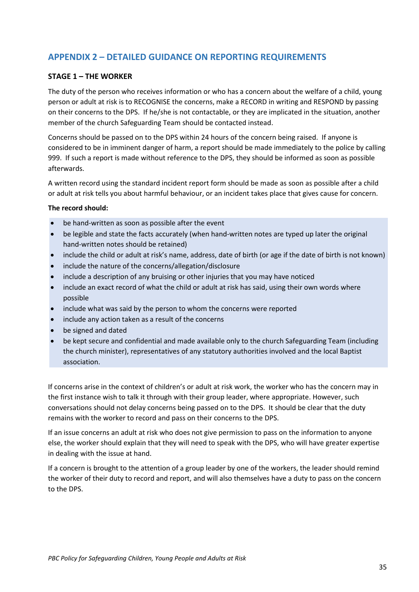# <span id="page-34-0"></span>**APPENDIX 2 – DETAILED GUIDANCE ON REPORTING REQUIREMENTS**

#### **STAGE 1 – THE WORKER**

The duty of the person who receives information or who has a concern about the welfare of a child, young person or adult at risk is to RECOGNISE the concerns, make a RECORD in writing and RESPOND by passing on their concerns to the DPS. If he/she is not contactable, or they are implicated in the situation, another member of the church Safeguarding Team should be contacted instead.

Concerns should be passed on to the DPS within 24 hours of the concern being raised. If anyone is considered to be in imminent danger of harm, a report should be made immediately to the police by calling 999. If such a report is made without reference to the DPS, they should be informed as soon as possible afterwards.

A written record using the standard incident report form should be made as soon as possible after a child or adult at risk tells you about harmful behaviour, or an incident takes place that gives cause for concern.

#### **The record should:**

- be hand-written as soon as possible after the event
- be legible and state the facts accurately (when hand-written notes are typed up later the original hand-written notes should be retained)
- include the child or adult at risk's name, address, date of birth (or age if the date of birth is not known)
- include the nature of the concerns/allegation/disclosure
- include a description of any bruising or other injuries that you may have noticed
- include an exact record of what the child or adult at risk has said, using their own words where possible
- include what was said by the person to whom the concerns were reported
- include any action taken as a result of the concerns
- be signed and dated
- be kept secure and confidential and made available only to the church Safeguarding Team (including the church minister), representatives of any statutory authorities involved and the local Baptist association.

If concerns arise in the context of children's or adult at risk work, the worker who has the concern may in the first instance wish to talk it through with their group leader, where appropriate. However, such conversations should not delay concerns being passed on to the DPS. It should be clear that the duty remains with the worker to record and pass on their concerns to the DPS.

If an issue concerns an adult at risk who does not give permission to pass on the information to anyone else, the worker should explain that they will need to speak with the DPS, who will have greater expertise in dealing with the issue at hand.

If a concern is brought to the attention of a group leader by one of the workers, the leader should remind the worker of their duty to record and report, and will also themselves have a duty to pass on the concern to the DPS.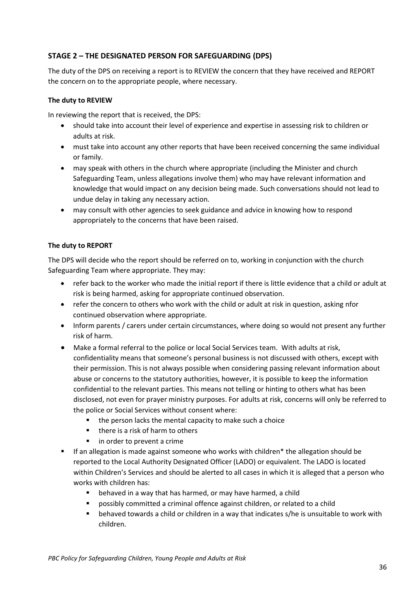# **STAGE 2 – THE DESIGNATED PERSON FOR SAFEGUARDING (DPS)**

The duty of the DPS on receiving a report is to REVIEW the concern that they have received and REPORT the concern on to the appropriate people, where necessary.

#### **The duty to REVIEW**

In reviewing the report that is received, the DPS:

- should take into account their level of experience and expertise in assessing risk to children or adults at risk.
- must take into account any other reports that have been received concerning the same individual or family.
- may speak with others in the church where appropriate (including the Minister and church Safeguarding Team, unless allegations involve them) who may have relevant information and knowledge that would impact on any decision being made. Such conversations should not lead to undue delay in taking any necessary action.
- may consult with other agencies to seek guidance and advice in knowing how to respond appropriately to the concerns that have been raised.

#### **The duty to REPORT**

The DPS will decide who the report should be referred on to, working in conjunction with the church Safeguarding Team where appropriate. They may:

- refer back to the worker who made the initial report if there is little evidence that a child or adult at risk is being harmed, asking for appropriate continued observation.
- refer the concern to others who work with the child or adult at risk in question, asking nfor continued observation where appropriate.
- Inform parents / carers under certain circumstances, where doing so would not present any further risk of harm.
- Make a formal referral to the police or local Social Services team. With adults at risk, confidentiality means that someone's personal business is not discussed with others, except with their permission. This is not always possible when considering passing relevant information about abuse or concerns to the statutory authorities, however, it is possible to keep the information confidential to the relevant parties. This means not telling or hinting to others what has been disclosed, not even for prayer ministry purposes. For adults at risk, concerns will only be referred to the police or Social Services without consent where:
	- the person lacks the mental capacity to make such a choice
	- there is a risk of harm to others
	- in order to prevent a crime
- If an allegation is made against someone who works with children<sup>\*</sup> the allegation should be reported to the Local Authority Designated Officer (LADO) or equivalent. The LADO is located within Children's Services and should be alerted to all cases in which it is alleged that a person who works with children has:
	- behaved in a way that has harmed, or may have harmed, a child
	- possibly committed a criminal offence against children, or related to a child
	- behaved towards a child or children in a way that indicates s/he is unsuitable to work with children.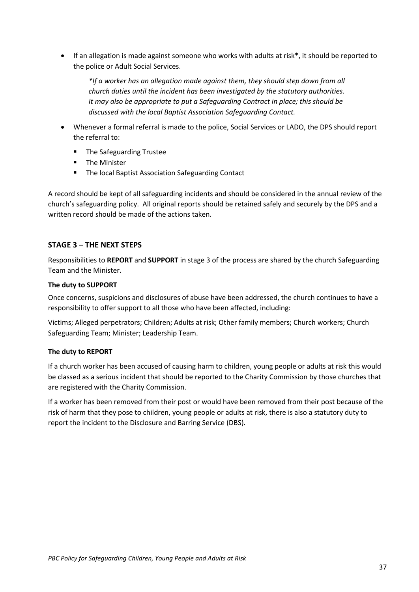• If an allegation is made against someone who works with adults at risk\*, it should be reported to the police or Adult Social Services.

*\*If a worker has an allegation made against them, they should step down from all church duties until the incident has been investigated by the statutory authorities. It may also be appropriate to put a Safeguarding Contract in place; this should be discussed with the local Baptist Association Safeguarding Contact.*

- Whenever a formal referral is made to the police, Social Services or LADO, the DPS should report the referral to:
	- The Safeguarding Trustee
	- The Minister
	- The local Baptist Association Safeguarding Contact

A record should be kept of all safeguarding incidents and should be considered in the annual review of the church's safeguarding policy. All original reports should be retained safely and securely by the DPS and a written record should be made of the actions taken.

## **STAGE 3 – THE NEXT STEPS**

Responsibilities to **REPORT** and **SUPPORT** in stage 3 of the process are shared by the church Safeguarding Team and the Minister.

#### **The duty to SUPPORT**

Once concerns, suspicions and disclosures of abuse have been addressed, the church continues to have a responsibility to offer support to all those who have been affected, including:

Victims; Alleged perpetrators; Children; Adults at risk; Other family members; Church workers; Church Safeguarding Team; Minister; Leadership Team.

#### **The duty to REPORT**

If a church worker has been accused of causing harm to children, young people or adults at risk this would be classed as a serious incident that should be reported to the Charity Commission by those churches that are registered with the Charity Commission.

If a worker has been removed from their post or would have been removed from their post because of the risk of harm that they pose to children, young people or adults at risk, there is also a statutory duty to report the incident to the Disclosure and Barring Service (DBS).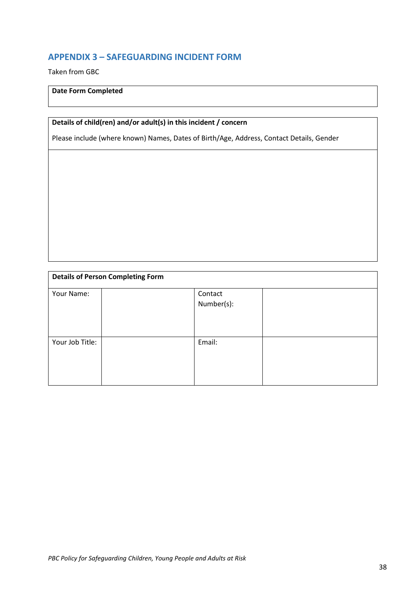# <span id="page-37-0"></span>**APPENDIX 3 – SAFEGUARDING INCIDENT FORM**

Taken from GBC

#### **Date Form Completed**

# **Details of child(ren) and/or adult(s) in this incident / concern**

Please include (where known) Names, Dates of Birth/Age, Address, Contact Details, Gender

| <b>Details of Person Completing Form</b> |  |                       |  |
|------------------------------------------|--|-----------------------|--|
| Your Name:                               |  | Contact<br>Number(s): |  |
| Your Job Title:                          |  | Email:                |  |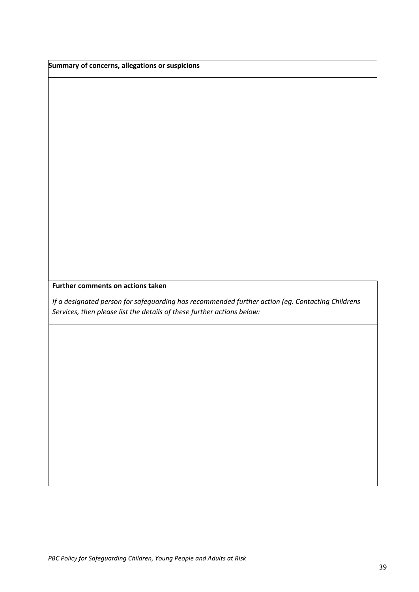**Summary of concerns, allegations or suspicions** 

## **Further comments on actions taken**

*If a designated person for safeguarding has recommended further action (eg. Contacting Childrens Services, then please list the details of these further actions below:*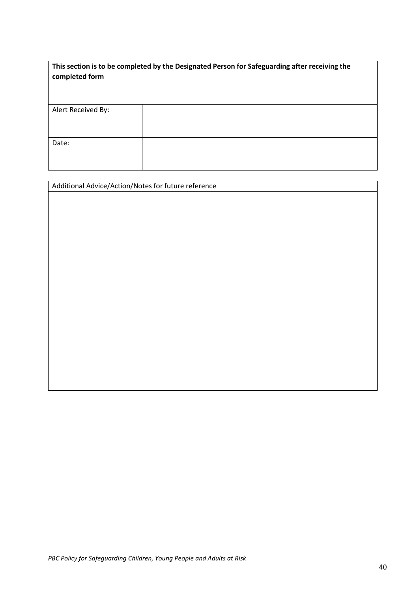| This section is to be completed by the Designated Person for Safeguarding after receiving the |  |
|-----------------------------------------------------------------------------------------------|--|
| completed form                                                                                |  |

| Alert Received By: |  |
|--------------------|--|
|                    |  |
|                    |  |
| Date:              |  |
|                    |  |
|                    |  |

| Additional Advice/Action/Notes for future reference |  |
|-----------------------------------------------------|--|
|-----------------------------------------------------|--|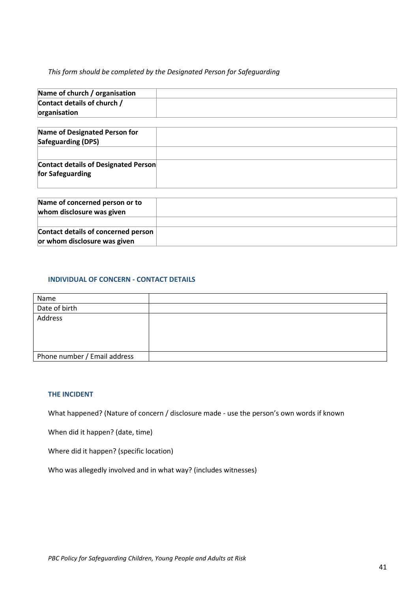#### *This form should be completed by the Designated Person for Safeguarding*

| Name of church / organisation |  |
|-------------------------------|--|
| Contact details of church /   |  |
| organisation                  |  |

| Name of concerned person or to<br>whom disclosure was given |  |
|-------------------------------------------------------------|--|
| Contact details of concerned person                         |  |
| or whom disclosure was given                                |  |

## **INDIVIDUAL OF CONCERN - CONTACT DETAILS**

| Name                         |  |
|------------------------------|--|
| Date of birth                |  |
| Address                      |  |
|                              |  |
|                              |  |
|                              |  |
| Phone number / Email address |  |

#### **THE INCIDENT**

What happened? (Nature of concern / disclosure made - use the person's own words if known

When did it happen? (date, time)

Where did it happen? (specific location)

Who was allegedly involved and in what way? (includes witnesses)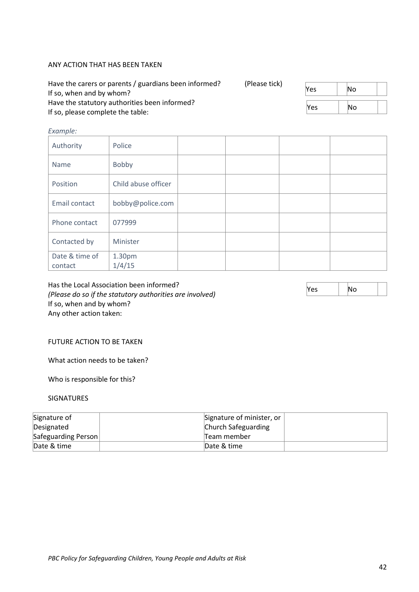#### ANY ACTION THAT HAS BEEN TAKEN

| Have the carers or parents / guardians been informed?<br>If so, when and by whom?  | (Please tick) | lYes       | ۱No       |  |
|------------------------------------------------------------------------------------|---------------|------------|-----------|--|
| Have the statutory authorities been informed?<br>If so, please complete the table: |               | <b>Yes</b> | <b>No</b> |  |

#### *Example:*

| Authority                 | Police              |  |  |
|---------------------------|---------------------|--|--|
| Name                      | Bobby               |  |  |
| Position                  | Child abuse officer |  |  |
| Email contact             | bobby@police.com    |  |  |
| Phone contact             | 077999              |  |  |
| Contacted by              | Minister            |  |  |
| Date & time of<br>contact | 1.30pm<br>1/4/15    |  |  |

Has the Local Association been informed? *(Please do so if the statutory authorities are involved)* If so, when and by whom? Any other action taken:

#### FUTURE ACTION TO BE TAKEN

What action needs to be taken?

Who is responsible for this?

#### SIGNATURES

| Signature of        | Signature of minister, or |
|---------------------|---------------------------|
| Designated          | Church Safeguarding       |
| Safeguarding Person | Team member               |
| Date & time         | Date & time               |

 $Yes$   $| No$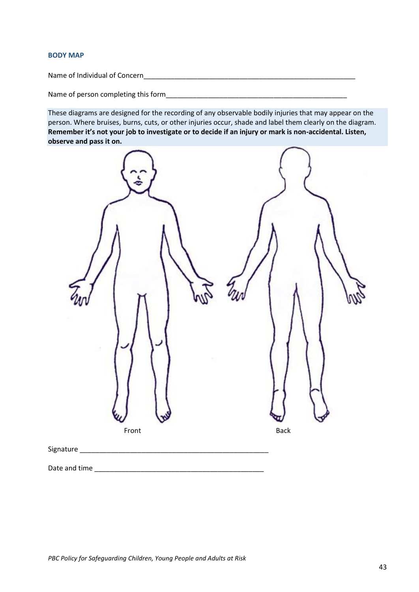#### **BODY MAP**

Name of Individual of Concern\_\_\_\_\_\_\_\_\_\_\_\_\_\_\_\_\_\_\_\_\_\_\_\_\_\_\_\_\_\_\_\_\_\_\_\_\_\_\_\_\_\_\_\_\_\_\_\_\_\_\_\_\_\_\_

Name of person completing this form\_\_\_\_\_\_\_\_\_\_\_\_\_\_\_\_\_\_\_\_\_\_\_\_\_\_\_\_\_\_\_\_\_\_\_\_\_\_\_\_\_\_\_\_\_\_\_

These diagrams are designed for the recording of any observable bodily injuries that may appear on the person. Where bruises, burns, cuts, or other injuries occur, shade and label them clearly on the diagram. **Remember it's not your job to investigate or to decide if an injury or mark is non-accidental. Listen, observe and pass it on.**

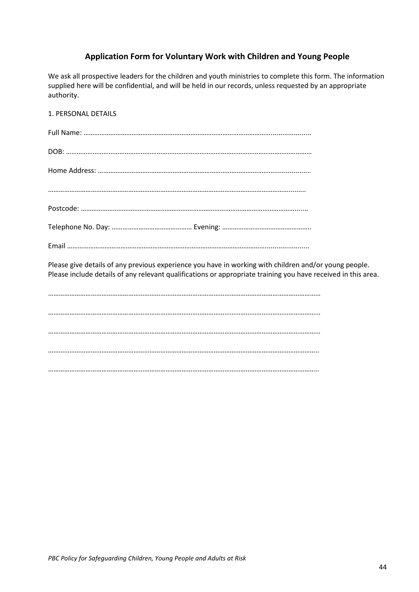# **Application Form for Voluntary Work with Children and Young People**

We ask all prospective leaders for the children and youth ministries to complete this form. The information supplied here will be confidential, and will be held in our records, unless requested by an appropriate authority.

1. PERSONAL DETAILS Full Name: ……………………………………………………………………………………………..................... DOB: ………………………………………………………………………………………………………………………… Home Address: ………………………………………………………………………………………................... ………………………………………………………………………………………………………………………......... Postcode: …………………………………………………………………………………………………………....... Telephone No. Day: ……………………………………… Evening: ………………………………………….. Email …………………………………………………………………………………………………....................... Please give details of any previous experience you have in working with children and/or young people. Please include details of any relevant qualifications or appropriate training you have received in this area. ……………………………………………………………………………………………………………………………………… ……………………………………………………………………………………………………………………………………… ……………………………………………………………………………………………………………………………………… …………………………………………………………………………………………………………………………………….. ……………………………………………………………………………………………………………………………………..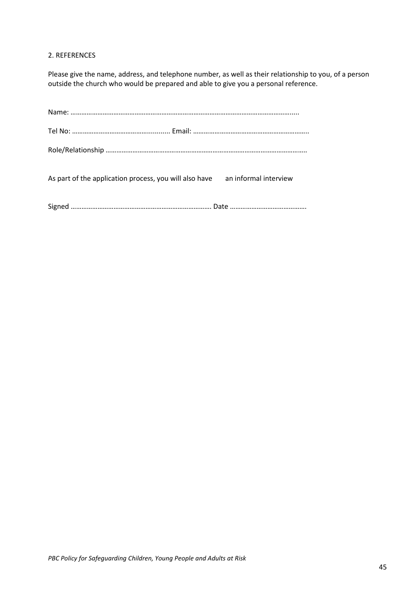#### 2. REFERENCES

Please give the name, address, and telephone number, as well as their relationship to you, of a person outside the church who would be prepared and able to give you a personal reference.

| As part of the application process, you will also have an informal interview |  |
|------------------------------------------------------------------------------|--|
|                                                                              |  |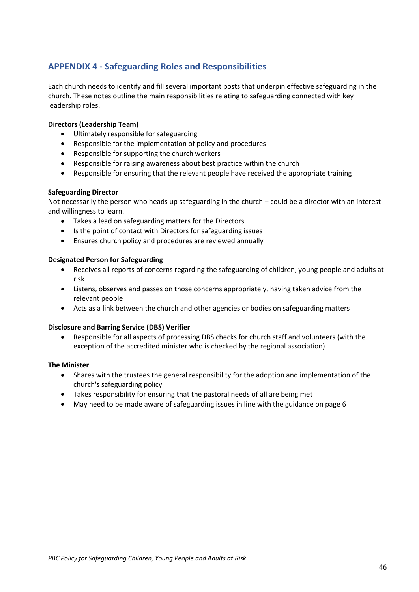# **APPENDIX 4 - Safeguarding Roles and Responsibilities**

Each church needs to identify and fill several important posts that underpin effective safeguarding in the church. These notes outline the main responsibilities relating to safeguarding connected with key leadership roles.

#### **Directors (Leadership Team)**

- Ultimately responsible for safeguarding
- Responsible for the implementation of policy and procedures
- Responsible for supporting the church workers
- Responsible for raising awareness about best practice within the church
- Responsible for ensuring that the relevant people have received the appropriate training

#### **Safeguarding Director**

Not necessarily the person who heads up safeguarding in the church – could be a director with an interest and willingness to learn.

- Takes a lead on safeguarding matters for the Directors
- Is the point of contact with Directors for safeguarding issues
- Ensures church policy and procedures are reviewed annually

#### **Designated Person for Safeguarding**

- Receives all reports of concerns regarding the safeguarding of children, young people and adults at risk
- Listens, observes and passes on those concerns appropriately, having taken advice from the relevant people
- Acts as a link between the church and other agencies or bodies on safeguarding matters

#### **Disclosure and Barring Service (DBS) Verifier**

• Responsible for all aspects of processing DBS checks for church staff and volunteers (with the exception of the accredited minister who is checked by the regional association)

#### **The Minister**

- Shares with the trustees the general responsibility for the adoption and implementation of the church's safeguarding policy
- Takes responsibility for ensuring that the pastoral needs of all are being met
- May need to be made aware of safeguarding issues in line with the guidance on page 6